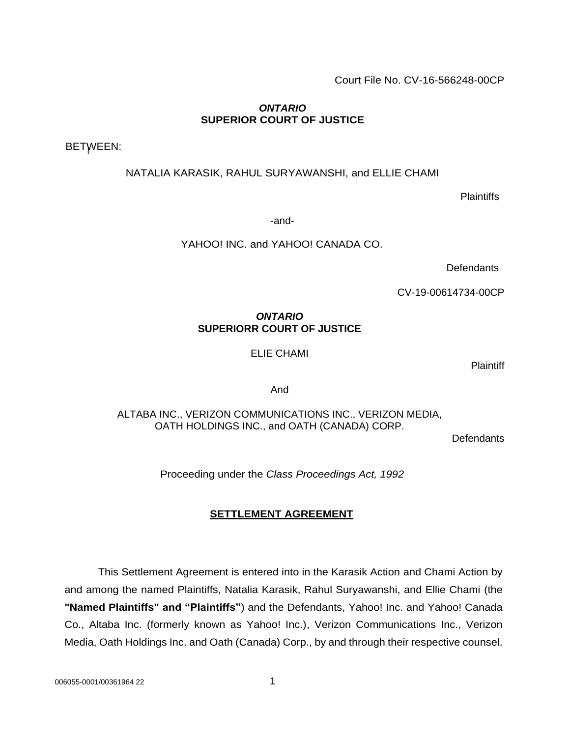Court File No. CV-16-566248-00CP

# *ONTARIO* **SUPERIOR COURT OF JUSTICE**

BETWEEN:

NATALIA KARASIK, RAHUL SURYAWANSHI, and ELLIE CHAMI

**Plaintiffs** 

-and-

YAHOO! INC. and YAHOO! CANADA CO.

**Defendants** 

CV-19-00614734-00CP

# *ONTARIO* **SUPERIORR COURT OF JUSTICE**

ELIE CHAMI

**Plaintiff** 

And

ALTABA INC., VERIZON COMMUNICATIONS INC., VERIZON MEDIA, OATH HOLDINGS INC., and OATH (CANADA) CORP.

**Defendants** 

Proceeding under the *Class Proceedings Act, 1992*

# **SETTLEMENT AGREEMENT**

This Settlement Agreement is entered into in the Karasik Action and Chami Action by and among the named Plaintiffs, Natalia Karasik, Rahul Suryawanshi, and Ellie Chami (the **"Named Plaintiffs" and "Plaintiffs"**) and the Defendants, Yahoo! Inc. and Yahoo! Canada Co., Altaba Inc. (formerly known as Yahoo! Inc.), Verizon Communications Inc., Verizon Media, Oath Holdings Inc. and Oath (Canada) Corp., by and through their respective counsel.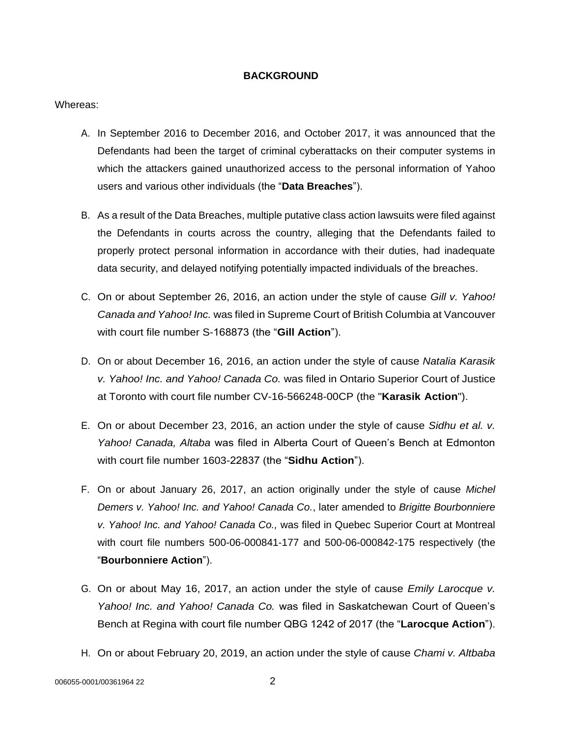### **BACKGROUND**

#### Whereas:

- A. In September 2016 to December 2016, and October 2017, it was announced that the Defendants had been the target of criminal cyberattacks on their computer systems in which the attackers gained unauthorized access to the personal information of Yahoo users and various other individuals (the "**Data Breaches**").
- B. As a result of the Data Breaches, multiple putative class action lawsuits were filed against the Defendants in courts across the country, alleging that the Defendants failed to properly protect personal information in accordance with their duties, had inadequate data security, and delayed notifying potentially impacted individuals of the breaches.
- C. On or about September 26, 2016, an action under the style of cause *Gill v. Yahoo! Canada and Yahoo! Inc.* was filed in Supreme Court of British Columbia at Vancouver with court file number S-168873 (the "**Gill Action**").
- D. On or about December 16, 2016, an action under the style of cause *Natalia Karasik v. Yahoo! Inc. and Yahoo! Canada Co.* was filed in Ontario Superior Court of Justice at Toronto with court file number CV-16-566248-00CP (the "**Karasik Action**").
- E. On or about December 23, 2016, an action under the style of cause *Sidhu et al. v. Yahoo! Canada, Altaba* was filed in Alberta Court of Queen's Bench at Edmonton with court file number 1603-22837 (the "**Sidhu Action**").
- F. On or about January 26, 2017, an action originally under the style of cause *Michel Demers v. Yahoo! Inc. and Yahoo! Canada Co.*, later amended to *Brigitte Bourbonniere v. Yahoo! Inc. and Yahoo! Canada Co.,* was filed in Quebec Superior Court at Montreal with court file numbers 500-06-000841-177 and 500-06-000842-175 respectively (the "**Bourbonniere Action**").
- G. On or about May 16, 2017, an action under the style of cause *Emily Larocque v. Yahoo! Inc. and Yahoo! Canada Co.* was filed in Saskatchewan Court of Queen's Bench at Regina with court file number QBG 1242 of 2017 (the "**Larocque Action**").
- H. On or about February 20, 2019, an action under the style of cause *Chami v. Altbaba*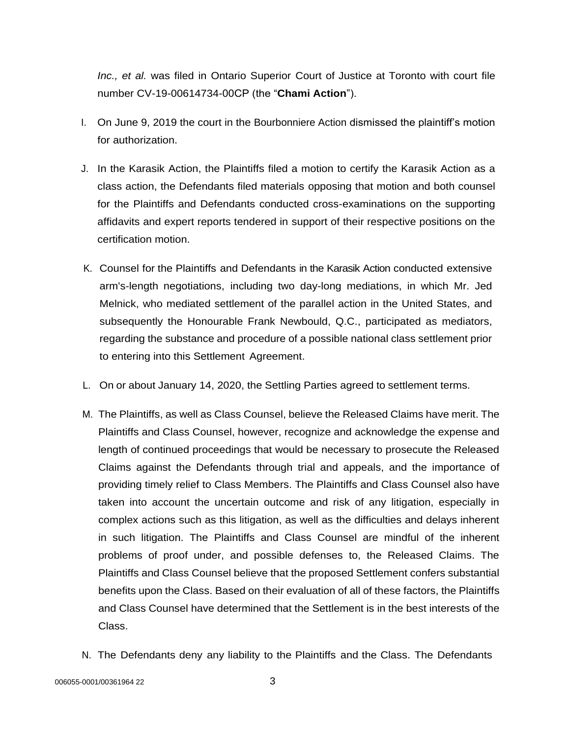*Inc., et al.* was filed in Ontario Superior Court of Justice at Toronto with court file number CV-19-00614734-00CP (the "**Chami Action**").

- I. On June 9, 2019 the court in the Bourbonniere Action dismissed the plaintiff's motion for authorization.
- J. In the Karasik Action, the Plaintiffs filed a motion to certify the Karasik Action as a class action, the Defendants filed materials opposing that motion and both counsel for the Plaintiffs and Defendants conducted cross-examinations on the supporting affidavits and expert reports tendered in support of their respective positions on the certification motion.
- K. Counsel for the Plaintiffs and Defendants in the Karasik Action conducted extensive arm's-length negotiations, including two day-long mediations, in which Mr. Jed Melnick, who mediated settlement of the parallel action in the United States, and subsequently the Honourable Frank Newbould, Q.C., participated as mediators, regarding the substance and procedure of a possible national class settlement prior to entering into this Settlement Agreement.
- L. On or about January 14, 2020, the Settling Parties agreed to settlement terms.
- M. The Plaintiffs, as well as Class Counsel, believe the Released Claims have merit. The Plaintiffs and Class Counsel, however, recognize and acknowledge the expense and length of continued proceedings that would be necessary to prosecute the Released Claims against the Defendants through trial and appeals, and the importance of providing timely relief to Class Members. The Plaintiffs and Class Counsel also have taken into account the uncertain outcome and risk of any litigation, especially in complex actions such as this litigation, as well as the difficulties and delays inherent in such litigation. The Plaintiffs and Class Counsel are mindful of the inherent problems of proof under, and possible defenses to, the Released Claims. The Plaintiffs and Class Counsel believe that the proposed Settlement confers substantial benefits upon the Class. Based on their evaluation of all of these factors, the Plaintiffs and Class Counsel have determined that the Settlement is in the best interests of the Class.
- N. The Defendants deny any liability to the Plaintiffs and the Class. The Defendants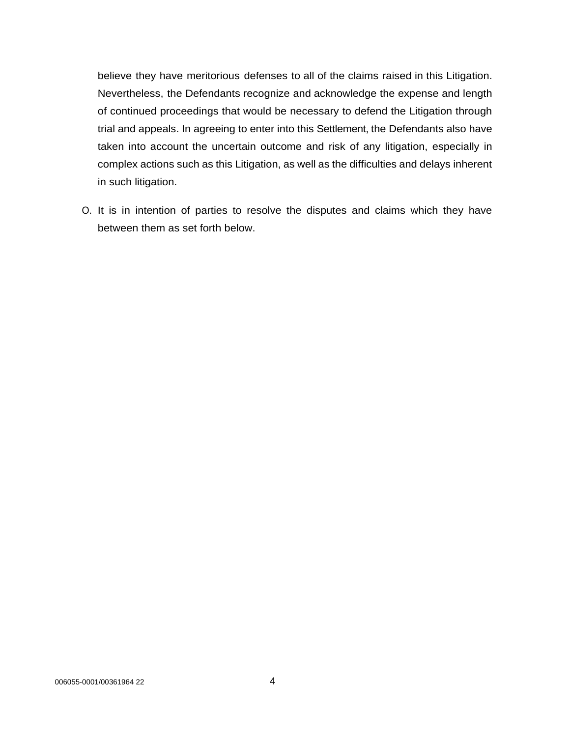believe they have meritorious defenses to all of the claims raised in this Litigation. Nevertheless, the Defendants recognize and acknowledge the expense and length of continued proceedings that would be necessary to defend the Litigation through trial and appeals. In agreeing to enter into this Settlement, the Defendants also have taken into account the uncertain outcome and risk of any litigation, especially in complex actions such as this Litigation, as well as the difficulties and delays inherent in such litigation.

O. It is in intention of parties to resolve the disputes and claims which they have between them as set forth below.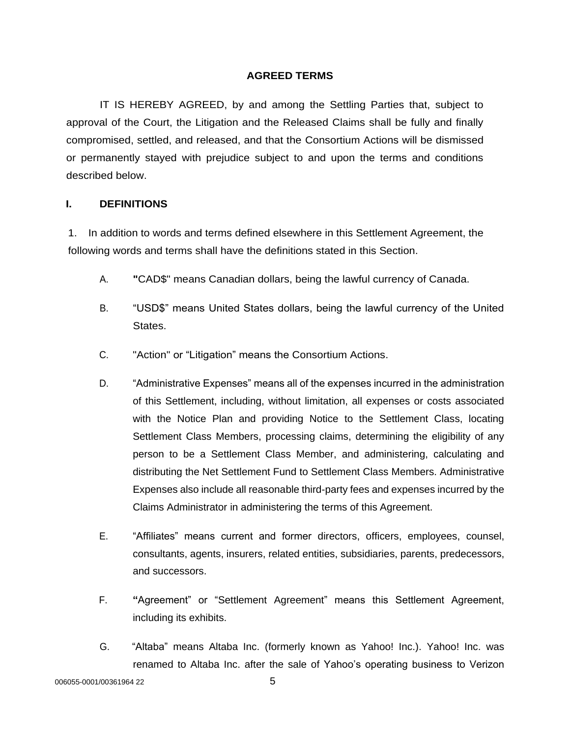# **AGREED TERMS**

IT IS HEREBY AGREED, by and among the Settling Parties that, subject to approval of the Court, the Litigation and the Released Claims shall be fully and finally compromised, settled, and released, and that the Consortium Actions will be dismissed or permanently stayed with prejudice subject to and upon the terms and conditions described below.

# **I. DEFINITIONS**

1. In addition to words and terms defined elsewhere in this Settlement Agreement, the following words and terms shall have the definitions stated in this Section.

- A. **"**CAD\$" means Canadian dollars, being the lawful currency of Canada.
- B. "USD\$" means United States dollars, being the lawful currency of the United States.
- C. "Action" or "Litigation" means the Consortium Actions.
- D. "Administrative Expenses" means all of the expenses incurred in the administration of this Settlement, including, without limitation, all expenses or costs associated with the Notice Plan and providing Notice to the Settlement Class, locating Settlement Class Members, processing claims, determining the eligibility of any person to be a Settlement Class Member, and administering, calculating and distributing the Net Settlement Fund to Settlement Class Members. Administrative Expenses also include all reasonable third-party fees and expenses incurred by the Claims Administrator in administering the terms of this Agreement.
- E. "Affiliates" means current and former directors, officers, employees, counsel, consultants, agents, insurers, related entities, subsidiaries, parents, predecessors, and successors.
- F. **"**Agreement" or "Settlement Agreement" means this Settlement Agreement, including its exhibits.
- G. "Altaba" means Altaba Inc. (formerly known as Yahoo! Inc.). Yahoo! Inc. was renamed to Altaba Inc. after the sale of Yahoo's operating business to Verizon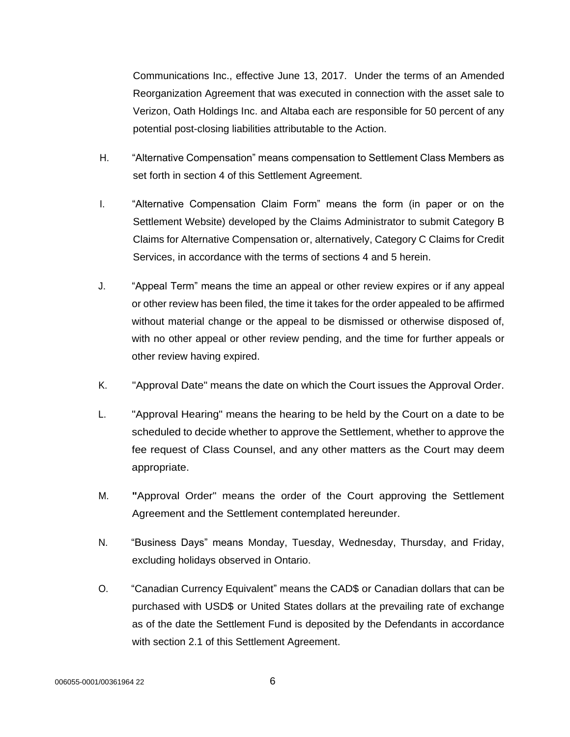Communications Inc., effective June 13, 2017. Under the terms of an Amended Reorganization Agreement that was executed in connection with the asset sale to Verizon, Oath Holdings Inc. and Altaba each are responsible for 50 percent of any potential post-closing liabilities attributable to the Action.

- H. "Alternative Compensation" means compensation to Settlement Class Members as set forth in section 4 of this Settlement Agreement.
- I. "Alternative Compensation Claim Form" means the form (in paper or on the Settlement Website) developed by the Claims Administrator to submit Category B Claims for Alternative Compensation or, alternatively, Category C Claims for Credit Services, in accordance with the terms of sections 4 and 5 herein.
- J. "Appeal Term" means the time an appeal or other review expires or if any appeal or other review has been filed, the time it takes for the order appealed to be affirmed without material change or the appeal to be dismissed or otherwise disposed of, with no other appeal or other review pending, and the time for further appeals or other review having expired.
- K. "Approval Date" means the date on which the Court issues the Approval Order.
- L. "Approval Hearing" means the hearing to be held by the Court on a date to be scheduled to decide whether to approve the Settlement, whether to approve the fee request of Class Counsel, and any other matters as the Court may deem appropriate.
- M. **"**Approval Order" means the order of the Court approving the Settlement Agreement and the Settlement contemplated hereunder.
- N. "Business Days" means Monday, Tuesday, Wednesday, Thursday, and Friday, excluding holidays observed in Ontario.
- O. "Canadian Currency Equivalent" means the CAD\$ or Canadian dollars that can be purchased with USD\$ or United States dollars at the prevailing rate of exchange as of the date the Settlement Fund is deposited by the Defendants in accordance with section 2.1 of this Settlement Agreement.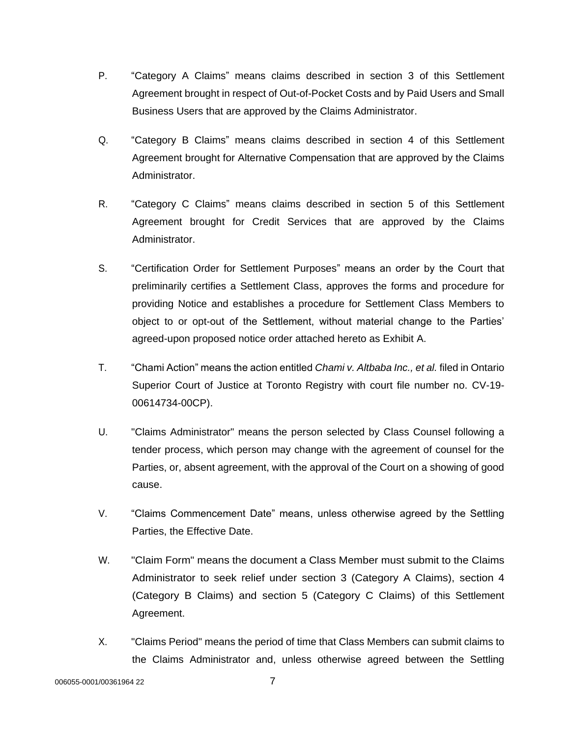- P. "Category A Claims" means claims described in section 3 of this Settlement Agreement brought in respect of Out-of-Pocket Costs and by Paid Users and Small Business Users that are approved by the Claims Administrator.
- Q. "Category B Claims" means claims described in section 4 of this Settlement Agreement brought for Alternative Compensation that are approved by the Claims Administrator.
- R. "Category C Claims" means claims described in section 5 of this Settlement Agreement brought for Credit Services that are approved by the Claims Administrator.
- S. "Certification Order for Settlement Purposes" means an order by the Court that preliminarily certifies a Settlement Class, approves the forms and procedure for providing Notice and establishes a procedure for Settlement Class Members to object to or opt-out of the Settlement, without material change to the Parties' agreed-upon proposed notice order attached hereto as Exhibit A.
- T. "Chami Action" means the action entitled *Chami v. Altbaba Inc., et al.* filed in Ontario Superior Court of Justice at Toronto Registry with court file number no. CV-19- 00614734-00CP).
- U. "Claims Administrator" means the person selected by Class Counsel following a tender process, which person may change with the agreement of counsel for the Parties, or, absent agreement, with the approval of the Court on a showing of good cause.
- V. "Claims Commencement Date" means, unless otherwise agreed by the Settling Parties, the Effective Date.
- W. "Claim Form" means the document a Class Member must submit to the Claims Administrator to seek relief under section 3 (Category A Claims), section 4 (Category B Claims) and section 5 (Category C Claims) of this Settlement Agreement.
- X. "Claims Period" means the period of time that Class Members can submit claims to the Claims Administrator and, unless otherwise agreed between the Settling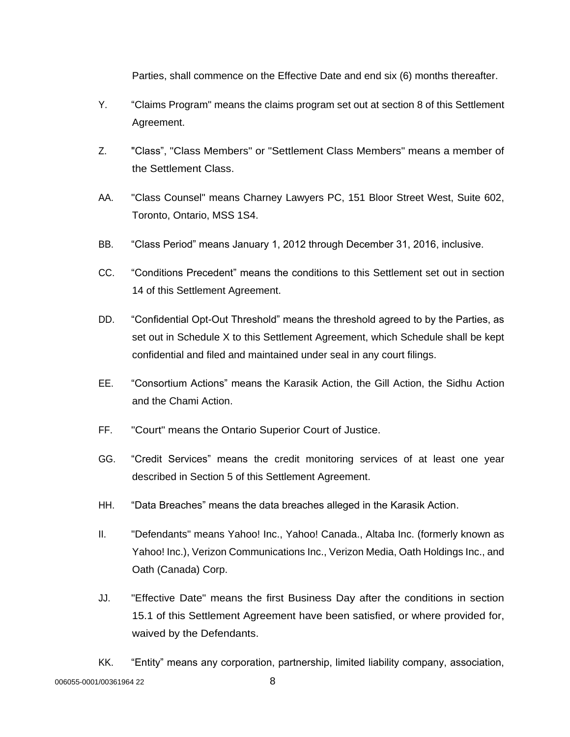Parties, shall commence on the Effective Date and end six (6) months thereafter.

- Y. "Claims Program" means the claims program set out at section 8 of this Settlement Agreement.
- Z. "Class", "Class Members" or "Settlement Class Members" means a member of the Settlement Class.
- AA. "Class Counsel" means Charney Lawyers PC, 151 Bloor Street West, Suite 602, Toronto, Ontario, MSS 1S4.
- BB. "Class Period" means January 1, 2012 through December 31, 2016, inclusive.
- CC. "Conditions Precedent" means the conditions to this Settlement set out in section 14 of this Settlement Agreement.
- DD. "Confidential Opt-Out Threshold" means the threshold agreed to by the Parties, as set out in Schedule X to this Settlement Agreement, which Schedule shall be kept confidential and filed and maintained under seal in any court filings.
- EE. "Consortium Actions" means the Karasik Action, the Gill Action, the Sidhu Action and the Chami Action.
- FF. "Court" means the Ontario Superior Court of Justice.
- GG. "Credit Services" means the credit monitoring services of at least one year described in Section 5 of this Settlement Agreement.
- HH. "Data Breaches" means the data breaches alleged in the Karasik Action.
- II. "Defendants" means Yahoo! Inc., Yahoo! Canada., Altaba Inc. (formerly known as Yahoo! Inc.), Verizon Communications Inc., Verizon Media, Oath Holdings Inc., and Oath (Canada) Corp.
- JJ. "Effective Date" means the first Business Day after the conditions in section 15.1 of this Settlement Agreement have been satisfied, or where provided for, waived by the Defendants.
- 006055-0001/00361964 22 8 KK. "Entity" means any corporation, partnership, limited liability company, association,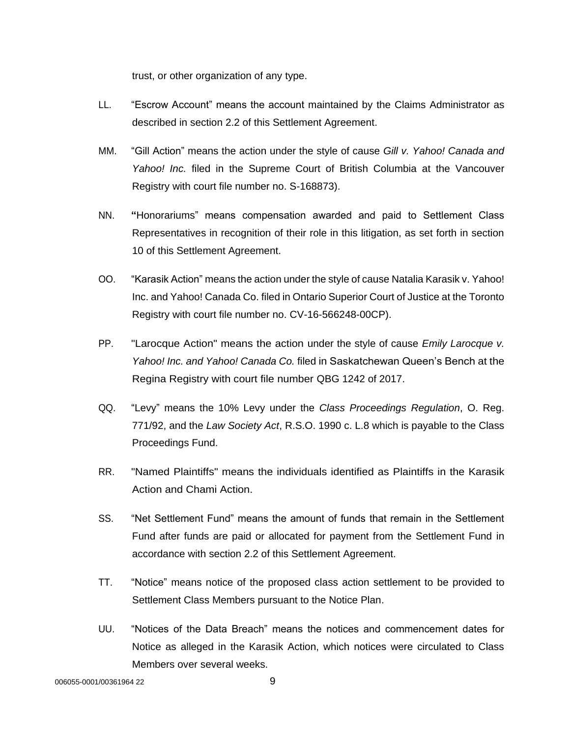trust, or other organization of any type.

- LL. "Escrow Account" means the account maintained by the Claims Administrator as described in section 2.2 of this Settlement Agreement.
- MM. "Gill Action" means the action under the style of cause *Gill v. Yahoo! Canada and Yahoo! Inc.* filed in the Supreme Court of British Columbia at the Vancouver Registry with court file number no. S-168873).
- NN. **"**Honorariums" means compensation awarded and paid to Settlement Class Representatives in recognition of their role in this litigation, as set forth in section 10 of this Settlement Agreement.
- OO. "Karasik Action" means the action under the style of cause Natalia Karasik v. Yahoo! Inc. and Yahoo! Canada Co. filed in Ontario Superior Court of Justice at the Toronto Registry with court file number no. CV-16-566248-00CP).
- PP. "Larocque Action" means the action under the style of cause *Emily Larocque v. Yahoo! Inc. and Yahoo! Canada Co.* filed in Saskatchewan Queen's Bench at the Regina Registry with court file number QBG 1242 of 2017.
- QQ. "Levy" means the 10% Levy under the *Class Proceedings Regulation*, O. Reg. 771/92, and the *Law Society Act*, R.S.O. 1990 c. L.8 which is payable to the Class Proceedings Fund.
- RR. "Named Plaintiffs" means the individuals identified as Plaintiffs in the Karasik Action and Chami Action.
- SS. "Net Settlement Fund" means the amount of funds that remain in the Settlement Fund after funds are paid or allocated for payment from the Settlement Fund in accordance with section 2.2 of this Settlement Agreement.
- TT. "Notice" means notice of the proposed class action settlement to be provided to Settlement Class Members pursuant to the Notice Plan.
- UU. "Notices of the Data Breach" means the notices and commencement dates for Notice as alleged in the Karasik Action, which notices were circulated to Class Members over several weeks.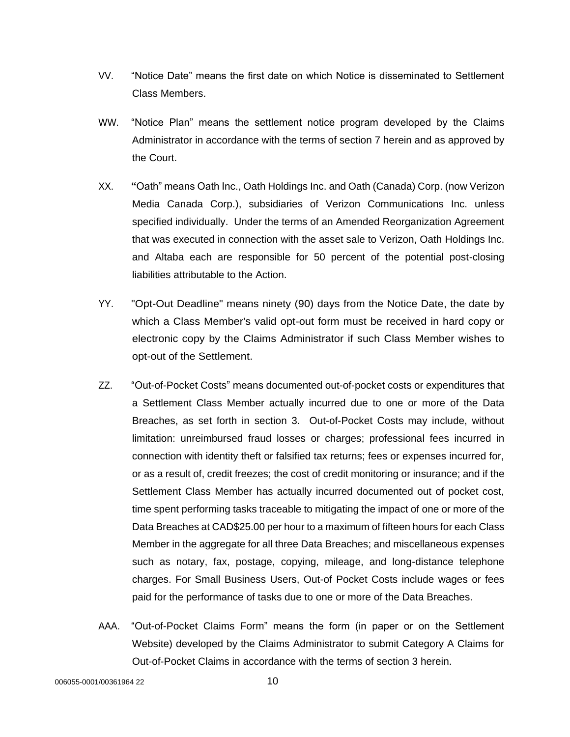- VV. "Notice Date" means the first date on which Notice is disseminated to Settlement Class Members.
- WW. "Notice Plan" means the settlement notice program developed by the Claims Administrator in accordance with the terms of section 7 herein and as approved by the Court.
- XX. **"**Oath" means Oath Inc., Oath Holdings Inc. and Oath (Canada) Corp. (now Verizon Media Canada Corp.), subsidiaries of Verizon Communications Inc. unless specified individually. Under the terms of an Amended Reorganization Agreement that was executed in connection with the asset sale to Verizon, Oath Holdings Inc. and Altaba each are responsible for 50 percent of the potential post-closing liabilities attributable to the Action.
- YY. "Opt-Out Deadline" means ninety (90) days from the Notice Date, the date by which a Class Member's valid opt-out form must be received in hard copy or electronic copy by the Claims Administrator if such Class Member wishes to opt-out of the Settlement.
- ZZ. "Out-of-Pocket Costs" means documented out-of-pocket costs or expenditures that a Settlement Class Member actually incurred due to one or more of the Data Breaches, as set forth in section 3. Out-of-Pocket Costs may include, without limitation: unreimbursed fraud losses or charges; professional fees incurred in connection with identity theft or falsified tax returns; fees or expenses incurred for, or as a result of, credit freezes; the cost of credit monitoring or insurance; and if the Settlement Class Member has actually incurred documented out of pocket cost, time spent performing tasks traceable to mitigating the impact of one or more of the Data Breaches at CAD\$25.00 per hour to a maximum of fifteen hours for each Class Member in the aggregate for all three Data Breaches; and miscellaneous expenses such as notary, fax, postage, copying, mileage, and long-distance telephone charges. For Small Business Users, Out-of Pocket Costs include wages or fees paid for the performance of tasks due to one or more of the Data Breaches.
- AAA. "Out-of-Pocket Claims Form" means the form (in paper or on the Settlement Website) developed by the Claims Administrator to submit Category A Claims for Out-of-Pocket Claims in accordance with the terms of section 3 herein.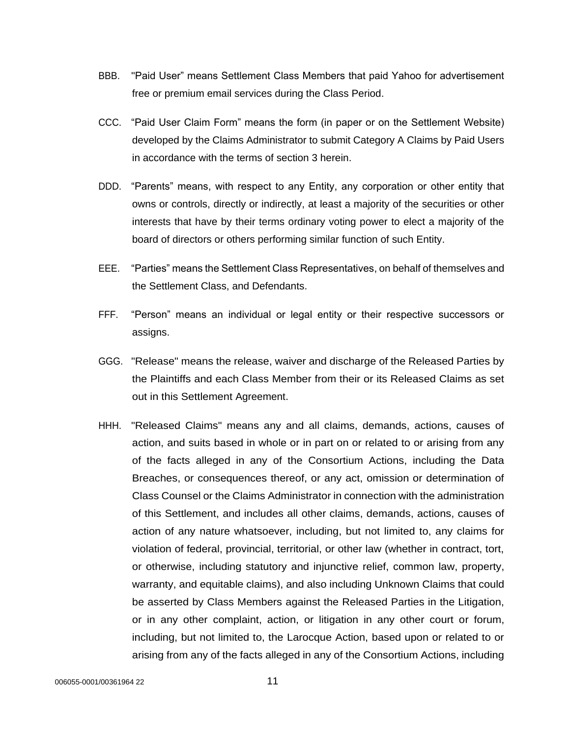- BBB. "Paid User" means Settlement Class Members that paid Yahoo for advertisement free or premium email services during the Class Period.
- CCC. "Paid User Claim Form" means the form (in paper or on the Settlement Website) developed by the Claims Administrator to submit Category A Claims by Paid Users in accordance with the terms of section 3 herein.
- DDD. "Parents" means, with respect to any Entity, any corporation or other entity that owns or controls, directly or indirectly, at least a majority of the securities or other interests that have by their terms ordinary voting power to elect a majority of the board of directors or others performing similar function of such Entity.
- EEE. "Parties" means the Settlement Class Representatives, on behalf of themselves and the Settlement Class, and Defendants.
- FFF. "Person" means an individual or legal entity or their respective successors or assigns.
- GGG. "Release" means the release, waiver and discharge of the Released Parties by the Plaintiffs and each Class Member from their or its Released Claims as set out in this Settlement Agreement.
- HHH. "Released Claims" means any and all claims, demands, actions, causes of action, and suits based in whole or in part on or related to or arising from any of the facts alleged in any of the Consortium Actions, including the Data Breaches, or consequences thereof, or any act, omission or determination of Class Counsel or the Claims Administrator in connection with the administration of this Settlement, and includes all other claims, demands, actions, causes of action of any nature whatsoever, including, but not limited to, any claims for violation of federal, provincial, territorial, or other law (whether in contract, tort, or otherwise, including statutory and injunctive relief, common law, property, warranty, and equitable claims), and also including Unknown Claims that could be asserted by Class Members against the Released Parties in the Litigation, or in any other complaint, action, or litigation in any other court or forum, including, but not limited to, the Larocque Action, based upon or related to or arising from any of the facts alleged in any of the Consortium Actions, including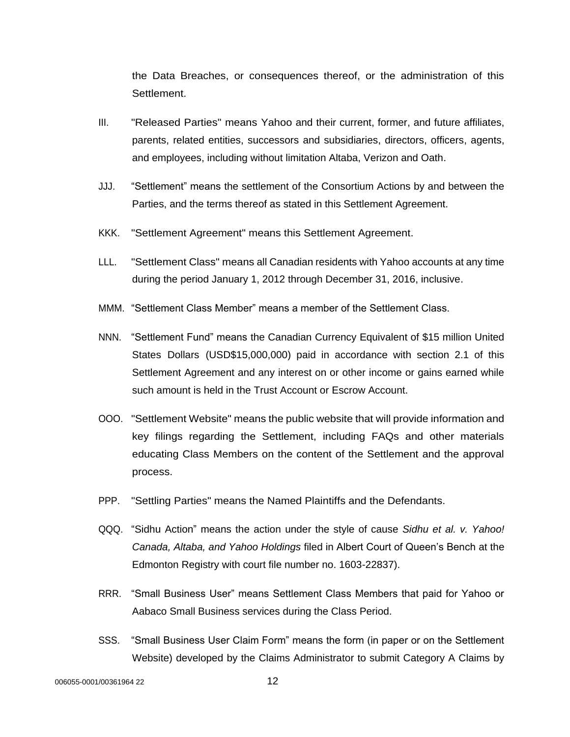the Data Breaches, or consequences thereof, or the administration of this Settlement.

- III. "Released Parties" means Yahoo and their current, former, and future affiliates, parents, related entities, successors and subsidiaries, directors, officers, agents, and employees, including without limitation Altaba, Verizon and Oath.
- JJJ. "Settlement" means the settlement of the Consortium Actions by and between the Parties, and the terms thereof as stated in this Settlement Agreement.
- KKK. "Settlement Agreement" means this Settlement Agreement.
- LLL. "Settlement Class" means all Canadian residents with Yahoo accounts at any time during the period January 1, 2012 through December 31, 2016, inclusive.
- MMM. "Settlement Class Member" means a member of the Settlement Class.
- NNN. "Settlement Fund" means the Canadian Currency Equivalent of \$15 million United States Dollars (USD\$15,000,000) paid in accordance with section 2.1 of this Settlement Agreement and any interest on or other income or gains earned while such amount is held in the Trust Account or Escrow Account.
- OOO. "Settlement Website" means the public website that will provide information and key filings regarding the Settlement, including FAQs and other materials educating Class Members on the content of the Settlement and the approval process.
- PPP. "Settling Parties" means the Named Plaintiffs and the Defendants.
- QQQ. "Sidhu Action" means the action under the style of cause *Sidhu et al. v. Yahoo! Canada, Altaba, and Yahoo Holdings* filed in Albert Court of Queen's Bench at the Edmonton Registry with court file number no. 1603-22837).
- RRR. "Small Business User" means Settlement Class Members that paid for Yahoo or Aabaco Small Business services during the Class Period.
- SSS. "Small Business User Claim Form" means the form (in paper or on the Settlement Website) developed by the Claims Administrator to submit Category A Claims by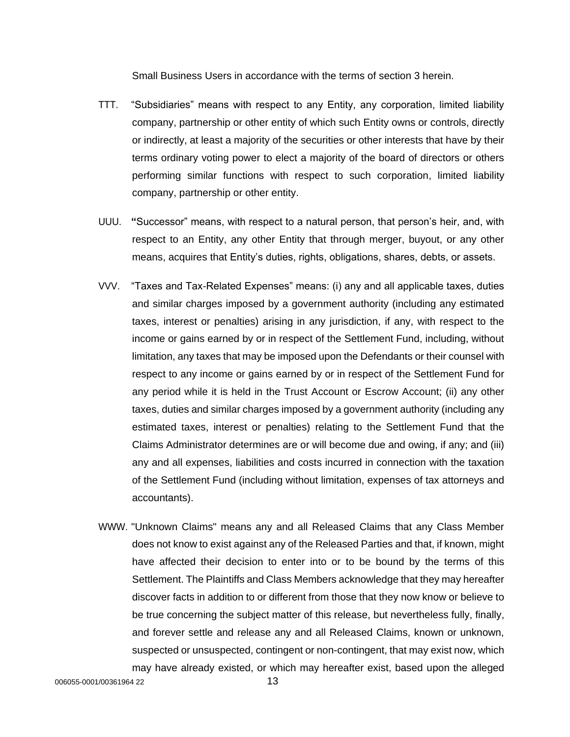Small Business Users in accordance with the terms of section 3 herein.

- TTT. "Subsidiaries" means with respect to any Entity, any corporation, limited liability company, partnership or other entity of which such Entity owns or controls, directly or indirectly, at least a majority of the securities or other interests that have by their terms ordinary voting power to elect a majority of the board of directors or others performing similar functions with respect to such corporation, limited liability company, partnership or other entity.
- UUU. **"**Successor" means, with respect to a natural person, that person's heir, and, with respect to an Entity, any other Entity that through merger, buyout, or any other means, acquires that Entity's duties, rights, obligations, shares, debts, or assets.
- VVV. "Taxes and Tax-Related Expenses" means: (i) any and all applicable taxes, duties and similar charges imposed by a government authority (including any estimated taxes, interest or penalties) arising in any jurisdiction, if any, with respect to the income or gains earned by or in respect of the Settlement Fund, including, without limitation, any taxes that may be imposed upon the Defendants or their counsel with respect to any income or gains earned by or in respect of the Settlement Fund for any period while it is held in the Trust Account or Escrow Account; (ii) any other taxes, duties and similar charges imposed by a government authority (including any estimated taxes, interest or penalties) relating to the Settlement Fund that the Claims Administrator determines are or will become due and owing, if any; and (iii) any and all expenses, liabilities and costs incurred in connection with the taxation of the Settlement Fund (including without limitation, expenses of tax attorneys and accountants).
- WWW. "Unknown Claims" means any and all Released Claims that any Class Member does not know to exist against any of the Released Parties and that, if known, might have affected their decision to enter into or to be bound by the terms of this Settlement. The Plaintiffs and Class Members acknowledge that they may hereafter discover facts in addition to or different from those that they now know or believe to be true concerning the subject matter of this release, but nevertheless fully, finally, and forever settle and release any and all Released Claims, known or unknown, suspected or unsuspected, contingent or non-contingent, that may exist now, which may have already existed, or which may hereafter exist, based upon the alleged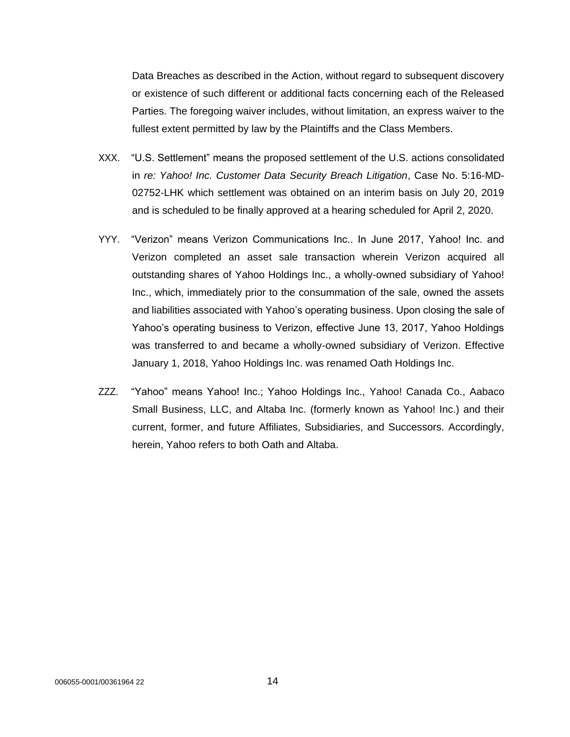Data Breaches as described in the Action, without regard to subsequent discovery or existence of such different or additional facts concerning each of the Released Parties. The foregoing waiver includes, without limitation, an express waiver to the fullest extent permitted by law by the Plaintiffs and the Class Members.

- XXX. "U.S. Settlement" means the proposed settlement of the U.S. actions consolidated in *re: Yahoo! Inc. Customer Data Security Breach Litigation*, Case No. 5:16-MD-02752-LHK which settlement was obtained on an interim basis on July 20, 2019 and is scheduled to be finally approved at a hearing scheduled for April 2, 2020.
- YYY. "Verizon" means Verizon Communications Inc.. In June 2017, Yahoo! Inc. and Verizon completed an asset sale transaction wherein Verizon acquired all outstanding shares of Yahoo Holdings Inc., a wholly-owned subsidiary of Yahoo! Inc., which, immediately prior to the consummation of the sale, owned the assets and liabilities associated with Yahoo's operating business. Upon closing the sale of Yahoo's operating business to Verizon, effective June 13, 2017, Yahoo Holdings was transferred to and became a wholly-owned subsidiary of Verizon. Effective January 1, 2018, Yahoo Holdings Inc. was renamed Oath Holdings Inc.
- ZZZ. "Yahoo" means Yahoo! Inc.; Yahoo Holdings Inc., Yahoo! Canada Co., Aabaco Small Business, LLC, and Altaba Inc. (formerly known as Yahoo! Inc.) and their current, former, and future Affiliates, Subsidiaries, and Successors. Accordingly, herein, Yahoo refers to both Oath and Altaba.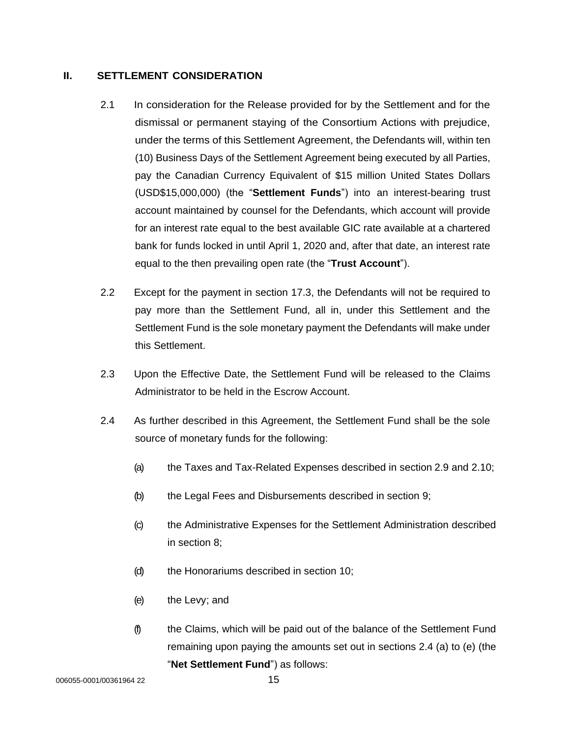# **II. SETTLEMENT CONSIDERATION**

- 2.1 In consideration for the Release provided for by the Settlement and for the dismissal or permanent staying of the Consortium Actions with prejudice, under the terms of this Settlement Agreement, the Defendants will, within ten (10) Business Days of the Settlement Agreement being executed by all Parties, pay the Canadian Currency Equivalent of \$15 million United States Dollars (USD\$15,000,000) (the "**Settlement Funds**") into an interest-bearing trust account maintained by counsel for the Defendants, which account will provide for an interest rate equal to the best available GIC rate available at a chartered bank for funds locked in until April 1, 2020 and, after that date, an interest rate equal to the then prevailing open rate (the "**Trust Account**").
- 2.2 Except for the payment in section 17.3, the Defendants will not be required to pay more than the Settlement Fund, all in, under this Settlement and the Settlement Fund is the sole monetary payment the Defendants will make under this Settlement.
- 2.3 Upon the Effective Date, the Settlement Fund will be released to the Claims Administrator to be held in the Escrow Account.
- 2.4 As further described in this Agreement, the Settlement Fund shall be the sole source of monetary funds for the following:
	- (a) the Taxes and Tax-Related Expenses described in section 2.9 and 2.10;
	- (b) the Legal Fees and Disbursements described in section 9;
	- (c) the Administrative Expenses for the Settlement Administration described in section 8;
	- (d) the Honorariums described in section 10;
	- (e) the Levy; and
	- (f) the Claims, which will be paid out of the balance of the Settlement Fund remaining upon paying the amounts set out in sections 2.4 (a) to (e) (the "**Net Settlement Fund**") as follows:

006055-0001/00361964 22 15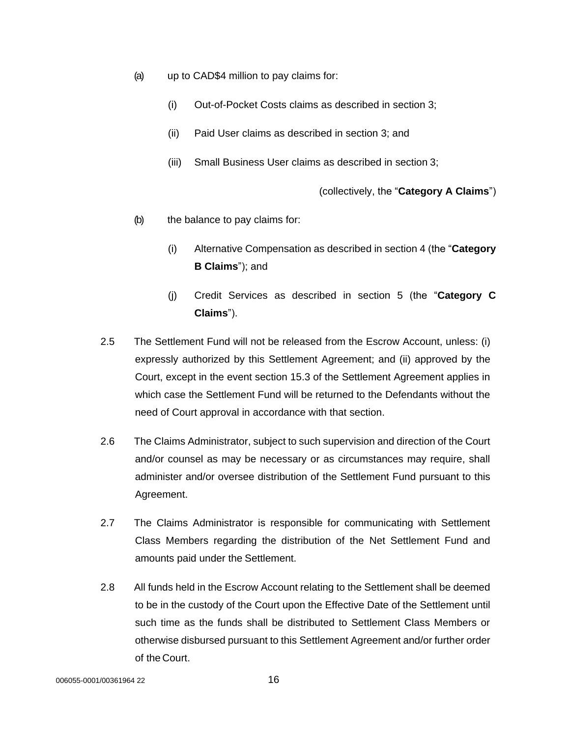- (a) up to CAD\$4 million to pay claims for:
	- (i) Out-of-Pocket Costs claims as described in section 3;
	- (ii) Paid User claims as described in section 3; and
	- (iii) Small Business User claims as described in section 3;

(collectively, the "**Category A Claims**")

- (b) the balance to pay claims for:
	- (i) Alternative Compensation as described in section 4 (the "**Category B Claims**"); and
	- (j) Credit Services as described in section 5 (the "**Category C Claims**").
- 2.5 The Settlement Fund will not be released from the Escrow Account, unless: (i) expressly authorized by this Settlement Agreement; and (ii) approved by the Court, except in the event section 15.3 of the Settlement Agreement applies in which case the Settlement Fund will be returned to the Defendants without the need of Court approval in accordance with that section.
- 2.6 The Claims Administrator, subject to such supervision and direction of the Court and/or counsel as may be necessary or as circumstances may require, shall administer and/or oversee distribution of the Settlement Fund pursuant to this Agreement.
- 2.7 The Claims Administrator is responsible for communicating with Settlement Class Members regarding the distribution of the Net Settlement Fund and amounts paid under the Settlement.
- 2.8 All funds held in the Escrow Account relating to the Settlement shall be deemed to be in the custody of the Court upon the Effective Date of the Settlement until such time as the funds shall be distributed to Settlement Class Members or otherwise disbursed pursuant to this Settlement Agreement and/or further order of the Court.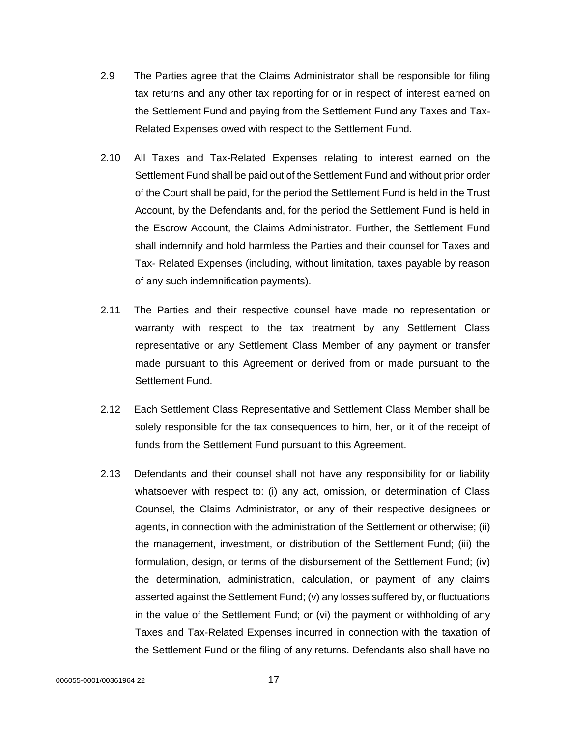- 2.9 The Parties agree that the Claims Administrator shall be responsible for filing tax returns and any other tax reporting for or in respect of interest earned on the Settlement Fund and paying from the Settlement Fund any Taxes and Tax-Related Expenses owed with respect to the Settlement Fund.
- 2.10 All Taxes and Tax-Related Expenses relating to interest earned on the Settlement Fund shall be paid out of the Settlement Fund and without prior order of the Court shall be paid, for the period the Settlement Fund is held in the Trust Account, by the Defendants and, for the period the Settlement Fund is held in the Escrow Account, the Claims Administrator. Further, the Settlement Fund shall indemnify and hold harmless the Parties and their counsel for Taxes and Tax- Related Expenses (including, without limitation, taxes payable by reason of any such indemnification payments).
- 2.11 The Parties and their respective counsel have made no representation or warranty with respect to the tax treatment by any Settlement Class representative or any Settlement Class Member of any payment or transfer made pursuant to this Agreement or derived from or made pursuant to the Settlement Fund.
- 2.12 Each Settlement Class Representative and Settlement Class Member shall be solely responsible for the tax consequences to him, her, or it of the receipt of funds from the Settlement Fund pursuant to this Agreement.
- 2.13 Defendants and their counsel shall not have any responsibility for or liability whatsoever with respect to: (i) any act, omission, or determination of Class Counsel, the Claims Administrator, or any of their respective designees or agents, in connection with the administration of the Settlement or otherwise; (ii) the management, investment, or distribution of the Settlement Fund; (iii) the formulation, design, or terms of the disbursement of the Settlement Fund; (iv) the determination, administration, calculation, or payment of any claims asserted against the Settlement Fund; (v) any losses suffered by, or fluctuations in the value of the Settlement Fund; or (vi) the payment or withholding of any Taxes and Tax-Related Expenses incurred in connection with the taxation of the Settlement Fund or the filing of any returns. Defendants also shall have no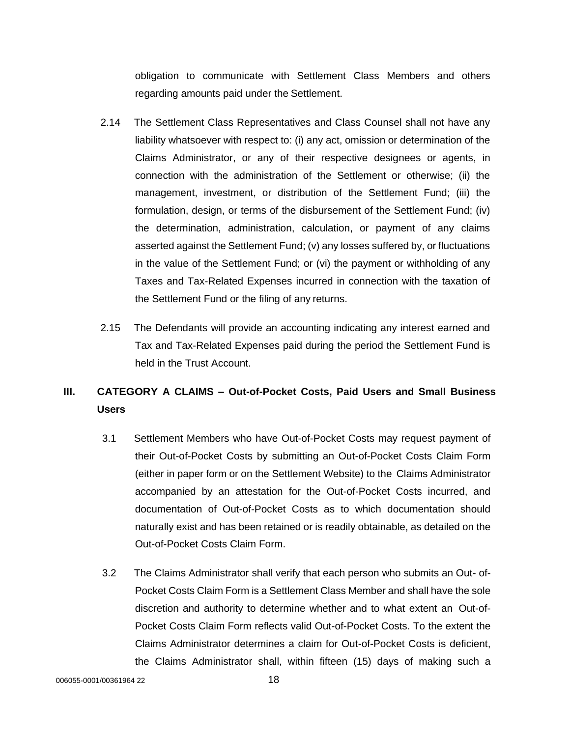obligation to communicate with Settlement Class Members and others regarding amounts paid under the Settlement.

- 2.14 The Settlement Class Representatives and Class Counsel shall not have any liability whatsoever with respect to: (i) any act, omission or determination of the Claims Administrator, or any of their respective designees or agents, in connection with the administration of the Settlement or otherwise; (ii) the management, investment, or distribution of the Settlement Fund; (iii) the formulation, design, or terms of the disbursement of the Settlement Fund; (iv) the determination, administration, calculation, or payment of any claims asserted against the Settlement Fund; (v) any losses suffered by, or fluctuations in the value of the Settlement Fund; or (vi) the payment or withholding of any Taxes and Tax-Related Expenses incurred in connection with the taxation of the Settlement Fund or the filing of any returns.
- 2.15 The Defendants will provide an accounting indicating any interest earned and Tax and Tax-Related Expenses paid during the period the Settlement Fund is held in the Trust Account.

# **III. CATEGORY A CLAIMS – Out-of-Pocket Costs, Paid Users and Small Business Users**

- 3.1 Settlement Members who have Out-of-Pocket Costs may request payment of their Out-of-Pocket Costs by submitting an Out-of-Pocket Costs Claim Form (either in paper form or on the Settlement Website) to the Claims Administrator accompanied by an attestation for the Out-of-Pocket Costs incurred, and documentation of Out-of-Pocket Costs as to which documentation should naturally exist and has been retained or is readily obtainable, as detailed on the Out-of-Pocket Costs Claim Form.
- 3.2 The Claims Administrator shall verify that each person who submits an Out- of-Pocket Costs Claim Form is a Settlement Class Member and shall have the sole discretion and authority to determine whether and to what extent an Out-of-Pocket Costs Claim Form reflects valid Out-of-Pocket Costs. To the extent the Claims Administrator determines a claim for Out-of-Pocket Costs is deficient, the Claims Administrator shall, within fifteen (15) days of making such a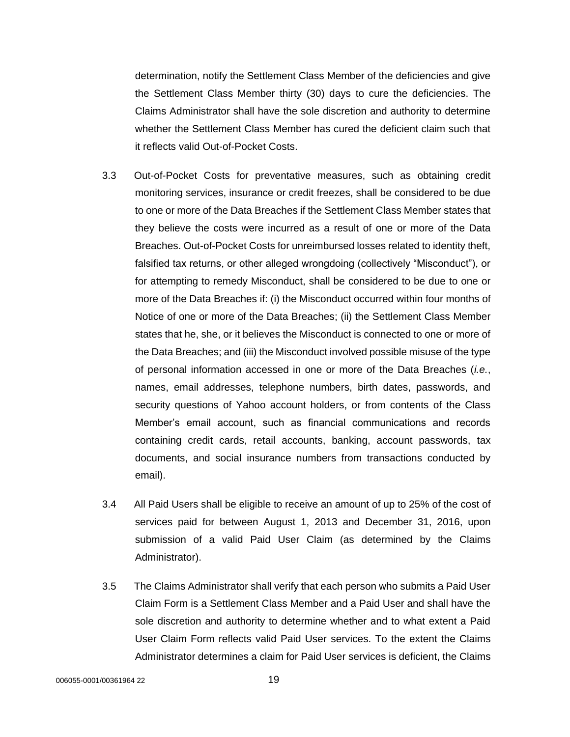determination, notify the Settlement Class Member of the deficiencies and give the Settlement Class Member thirty (30) days to cure the deficiencies. The Claims Administrator shall have the sole discretion and authority to determine whether the Settlement Class Member has cured the deficient claim such that it reflects valid Out-of-Pocket Costs.

- 3.3 Out-of-Pocket Costs for preventative measures, such as obtaining credit monitoring services, insurance or credit freezes, shall be considered to be due to one or more of the Data Breaches if the Settlement Class Member states that they believe the costs were incurred as a result of one or more of the Data Breaches. Out-of-Pocket Costs for unreimbursed losses related to identity theft, falsified tax returns, or other alleged wrongdoing (collectively "Misconduct"), or for attempting to remedy Misconduct, shall be considered to be due to one or more of the Data Breaches if: (i) the Misconduct occurred within four months of Notice of one or more of the Data Breaches; (ii) the Settlement Class Member states that he, she, or it believes the Misconduct is connected to one or more of the Data Breaches; and (iii) the Misconduct involved possible misuse of the type of personal information accessed in one or more of the Data Breaches (*i.e.*, names, email addresses, telephone numbers, birth dates, passwords, and security questions of Yahoo account holders, or from contents of the Class Member's email account, such as financial communications and records containing credit cards, retail accounts, banking, account passwords, tax documents, and social insurance numbers from transactions conducted by email).
- 3.4 All Paid Users shall be eligible to receive an amount of up to 25% of the cost of services paid for between August 1, 2013 and December 31, 2016, upon submission of a valid Paid User Claim (as determined by the Claims Administrator).
- 3.5 The Claims Administrator shall verify that each person who submits a Paid User Claim Form is a Settlement Class Member and a Paid User and shall have the sole discretion and authority to determine whether and to what extent a Paid User Claim Form reflects valid Paid User services. To the extent the Claims Administrator determines a claim for Paid User services is deficient, the Claims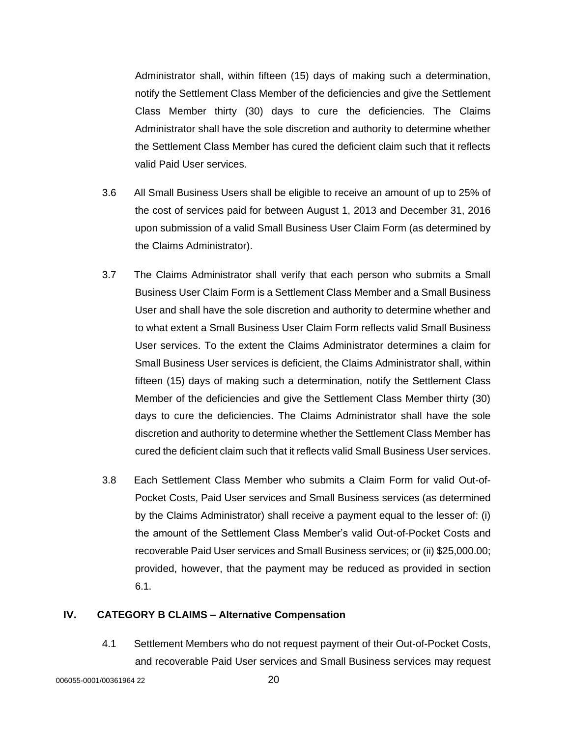Administrator shall, within fifteen (15) days of making such a determination, notify the Settlement Class Member of the deficiencies and give the Settlement Class Member thirty (30) days to cure the deficiencies. The Claims Administrator shall have the sole discretion and authority to determine whether the Settlement Class Member has cured the deficient claim such that it reflects valid Paid User services.

- 3.6 All Small Business Users shall be eligible to receive an amount of up to 25% of the cost of services paid for between August 1, 2013 and December 31, 2016 upon submission of a valid Small Business User Claim Form (as determined by the Claims Administrator).
- 3.7 The Claims Administrator shall verify that each person who submits a Small Business User Claim Form is a Settlement Class Member and a Small Business User and shall have the sole discretion and authority to determine whether and to what extent a Small Business User Claim Form reflects valid Small Business User services. To the extent the Claims Administrator determines a claim for Small Business User services is deficient, the Claims Administrator shall, within fifteen (15) days of making such a determination, notify the Settlement Class Member of the deficiencies and give the Settlement Class Member thirty (30) days to cure the deficiencies. The Claims Administrator shall have the sole discretion and authority to determine whether the Settlement Class Member has cured the deficient claim such that it reflects valid Small Business User services.
- 3.8 Each Settlement Class Member who submits a Claim Form for valid Out-of-Pocket Costs, Paid User services and Small Business services (as determined by the Claims Administrator) shall receive a payment equal to the lesser of: (i) the amount of the Settlement Class Member's valid Out-of-Pocket Costs and recoverable Paid User services and Small Business services; or (ii) \$25,000.00; provided, however, that the payment may be reduced as provided in section 6.1.

### **IV. CATEGORY B CLAIMS – Alternative Compensation**

4.1 Settlement Members who do not request payment of their Out-of-Pocket Costs, and recoverable Paid User services and Small Business services may request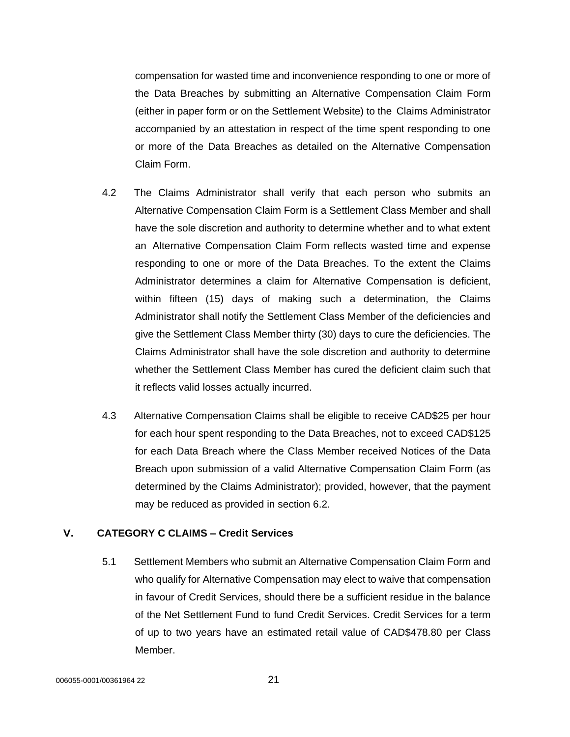compensation for wasted time and inconvenience responding to one or more of the Data Breaches by submitting an Alternative Compensation Claim Form (either in paper form or on the Settlement Website) to the Claims Administrator accompanied by an attestation in respect of the time spent responding to one or more of the Data Breaches as detailed on the Alternative Compensation Claim Form.

- 4.2 The Claims Administrator shall verify that each person who submits an Alternative Compensation Claim Form is a Settlement Class Member and shall have the sole discretion and authority to determine whether and to what extent an Alternative Compensation Claim Form reflects wasted time and expense responding to one or more of the Data Breaches. To the extent the Claims Administrator determines a claim for Alternative Compensation is deficient, within fifteen (15) days of making such a determination, the Claims Administrator shall notify the Settlement Class Member of the deficiencies and give the Settlement Class Member thirty (30) days to cure the deficiencies. The Claims Administrator shall have the sole discretion and authority to determine whether the Settlement Class Member has cured the deficient claim such that it reflects valid losses actually incurred.
- 4.3 Alternative Compensation Claims shall be eligible to receive CAD\$25 per hour for each hour spent responding to the Data Breaches, not to exceed CAD\$125 for each Data Breach where the Class Member received Notices of the Data Breach upon submission of a valid Alternative Compensation Claim Form (as determined by the Claims Administrator); provided, however, that the payment may be reduced as provided in section 6.2.

# **V. CATEGORY C CLAIMS – Credit Services**

5.1 Settlement Members who submit an Alternative Compensation Claim Form and who qualify for Alternative Compensation may elect to waive that compensation in favour of Credit Services, should there be a sufficient residue in the balance of the Net Settlement Fund to fund Credit Services. Credit Services for a term of up to two years have an estimated retail value of CAD\$478.80 per Class Member.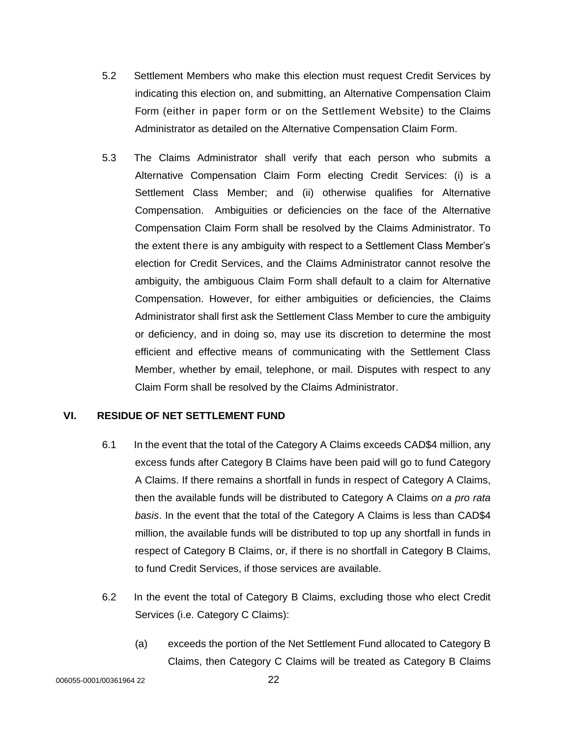- 5.2 Settlement Members who make this election must request Credit Services by indicating this election on, and submitting, an Alternative Compensation Claim Form (either in paper form or on the Settlement Website) to the Claims Administrator as detailed on the Alternative Compensation Claim Form.
- 5.3 The Claims Administrator shall verify that each person who submits a Alternative Compensation Claim Form electing Credit Services: (i) is a Settlement Class Member; and (ii) otherwise qualifies for Alternative Compensation. Ambiguities or deficiencies on the face of the Alternative Compensation Claim Form shall be resolved by the Claims Administrator. To the extent there is any ambiguity with respect to a Settlement Class Member's election for Credit Services, and the Claims Administrator cannot resolve the ambiguity, the ambiguous Claim Form shall default to a claim for Alternative Compensation. However, for either ambiguities or deficiencies, the Claims Administrator shall first ask the Settlement Class Member to cure the ambiguity or deficiency, and in doing so, may use its discretion to determine the most efficient and effective means of communicating with the Settlement Class Member, whether by email, telephone, or mail. Disputes with respect to any Claim Form shall be resolved by the Claims Administrator.

# **VI. RESIDUE OF NET SETTLEMENT FUND**

- 6.1 In the event that the total of the Category A Claims exceeds CAD\$4 million, any excess funds after Category B Claims have been paid will go to fund Category A Claims. If there remains a shortfall in funds in respect of Category A Claims, then the available funds will be distributed to Category A Claims *on a pro rata basis*. In the event that the total of the Category A Claims is less than CAD\$4 million, the available funds will be distributed to top up any shortfall in funds in respect of Category B Claims, or, if there is no shortfall in Category B Claims, to fund Credit Services, if those services are available.
- 6.2 In the event the total of Category B Claims, excluding those who elect Credit Services (i.e. Category C Claims):
	- (a) exceeds the portion of the Net Settlement Fund allocated to Category B Claims, then Category C Claims will be treated as Category B Claims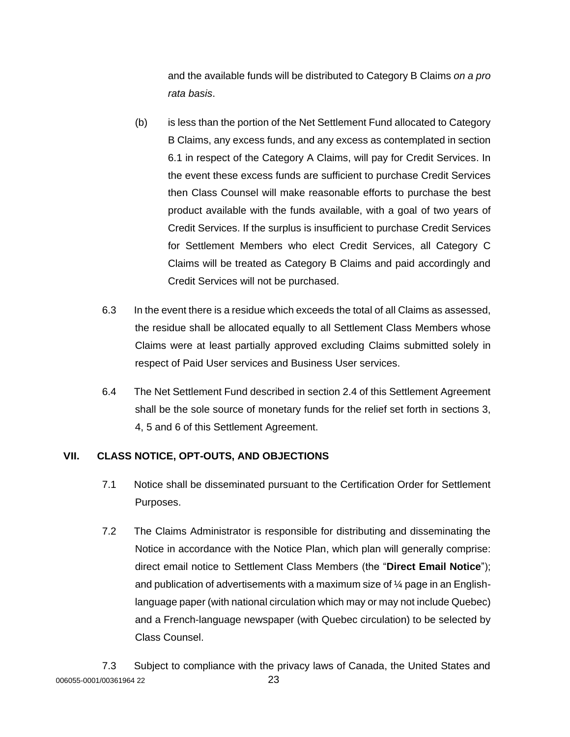and the available funds will be distributed to Category B Claims *on a pro rata basis*.

- (b) is less than the portion of the Net Settlement Fund allocated to Category B Claims, any excess funds, and any excess as contemplated in section 6.1 in respect of the Category A Claims, will pay for Credit Services. In the event these excess funds are sufficient to purchase Credit Services then Class Counsel will make reasonable efforts to purchase the best product available with the funds available, with a goal of two years of Credit Services. If the surplus is insufficient to purchase Credit Services for Settlement Members who elect Credit Services, all Category C Claims will be treated as Category B Claims and paid accordingly and Credit Services will not be purchased.
- 6.3 In the event there is a residue which exceeds the total of all Claims as assessed, the residue shall be allocated equally to all Settlement Class Members whose Claims were at least partially approved excluding Claims submitted solely in respect of Paid User services and Business User services.
- 6.4 The Net Settlement Fund described in section 2.4 of this Settlement Agreement shall be the sole source of monetary funds for the relief set forth in sections 3, 4, 5 and 6 of this Settlement Agreement.

# **VII. CLASS NOTICE, OPT-OUTS, AND OBJECTIONS**

- 7.1 Notice shall be disseminated pursuant to the Certification Order for Settlement Purposes.
- 7.2 The Claims Administrator is responsible for distributing and disseminating the Notice in accordance with the Notice Plan, which plan will generally comprise: direct email notice to Settlement Class Members (the "**Direct Email Notice**"); and publication of advertisements with a maximum size of ¼ page in an Englishlanguage paper (with national circulation which may or may not include Quebec) and a French-language newspaper (with Quebec circulation) to be selected by Class Counsel.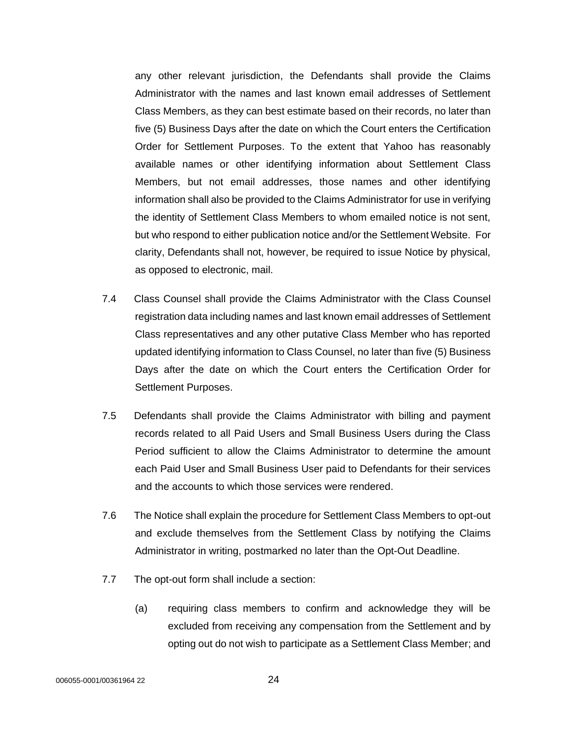any other relevant jurisdiction, the Defendants shall provide the Claims Administrator with the names and last known email addresses of Settlement Class Members, as they can best estimate based on their records, no later than five (5) Business Days after the date on which the Court enters the Certification Order for Settlement Purposes. To the extent that Yahoo has reasonably available names or other identifying information about Settlement Class Members, but not email addresses, those names and other identifying information shall also be provided to the Claims Administrator for use in verifying the identity of Settlement Class Members to whom emailed notice is not sent, but who respond to either publication notice and/or the Settlement Website. For clarity, Defendants shall not, however, be required to issue Notice by physical, as opposed to electronic, mail.

- 7.4 Class Counsel shall provide the Claims Administrator with the Class Counsel registration data including names and last known email addresses of Settlement Class representatives and any other putative Class Member who has reported updated identifying information to Class Counsel, no later than five (5) Business Days after the date on which the Court enters the Certification Order for Settlement Purposes.
- 7.5 Defendants shall provide the Claims Administrator with billing and payment records related to all Paid Users and Small Business Users during the Class Period sufficient to allow the Claims Administrator to determine the amount each Paid User and Small Business User paid to Defendants for their services and the accounts to which those services were rendered.
- 7.6 The Notice shall explain the procedure for Settlement Class Members to opt-out and exclude themselves from the Settlement Class by notifying the Claims Administrator in writing, postmarked no later than the Opt-Out Deadline.
- 7.7 The opt-out form shall include a section:
	- (a) requiring class members to confirm and acknowledge they will be excluded from receiving any compensation from the Settlement and by opting out do not wish to participate as a Settlement Class Member; and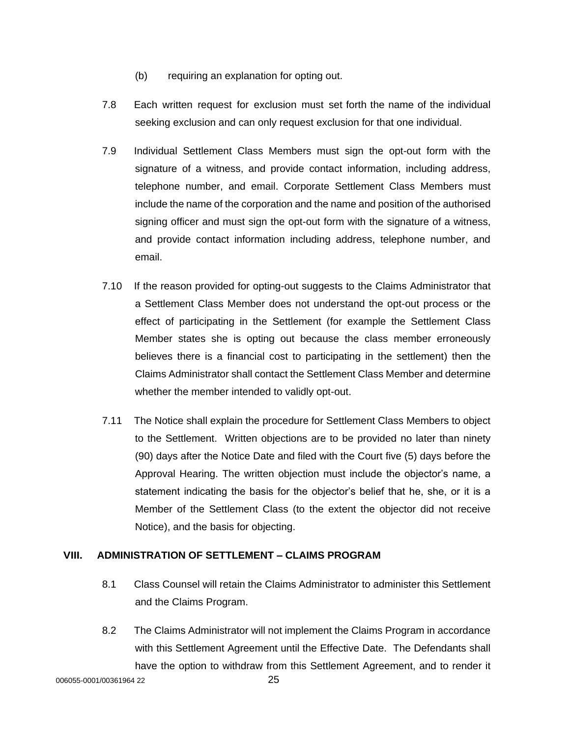- (b) requiring an explanation for opting out.
- 7.8 Each written request for exclusion must set forth the name of the individual seeking exclusion and can only request exclusion for that one individual.
- 7.9 Individual Settlement Class Members must sign the opt-out form with the signature of a witness, and provide contact information, including address, telephone number, and email. Corporate Settlement Class Members must include the name of the corporation and the name and position of the authorised signing officer and must sign the opt-out form with the signature of a witness, and provide contact information including address, telephone number, and email.
- 7.10 If the reason provided for opting-out suggests to the Claims Administrator that a Settlement Class Member does not understand the opt-out process or the effect of participating in the Settlement (for example the Settlement Class Member states she is opting out because the class member erroneously believes there is a financial cost to participating in the settlement) then the Claims Administrator shall contact the Settlement Class Member and determine whether the member intended to validly opt-out.
- 7.11 The Notice shall explain the procedure for Settlement Class Members to object to the Settlement. Written objections are to be provided no later than ninety (90) days after the Notice Date and filed with the Court five (5) days before the Approval Hearing. The written objection must include the objector's name, a statement indicating the basis for the objector's belief that he, she, or it is a Member of the Settlement Class (to the extent the objector did not receive Notice), and the basis for objecting.

# **VIII. ADMINISTRATION OF SETTLEMENT – CLAIMS PROGRAM**

- 8.1 Class Counsel will retain the Claims Administrator to administer this Settlement and the Claims Program.
- 8.2 The Claims Administrator will not implement the Claims Program in accordance with this Settlement Agreement until the Effective Date. The Defendants shall have the option to withdraw from this Settlement Agreement, and to render it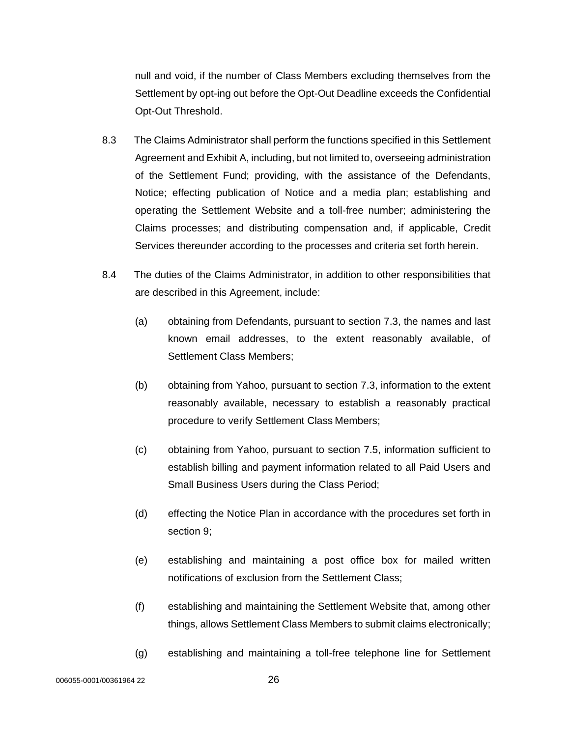null and void, if the number of Class Members excluding themselves from the Settlement by opt-ing out before the Opt-Out Deadline exceeds the Confidential Opt-Out Threshold.

- 8.3 The Claims Administrator shall perform the functions specified in this Settlement Agreement and Exhibit A, including, but not limited to, overseeing administration of the Settlement Fund; providing, with the assistance of the Defendants, Notice; effecting publication of Notice and a media plan; establishing and operating the Settlement Website and a toll-free number; administering the Claims processes; and distributing compensation and, if applicable, Credit Services thereunder according to the processes and criteria set forth herein.
- 8.4 The duties of the Claims Administrator, in addition to other responsibilities that are described in this Agreement, include:
	- (a) obtaining from Defendants, pursuant to section 7.3, the names and last known email addresses, to the extent reasonably available, of Settlement Class Members;
	- (b) obtaining from Yahoo, pursuant to section 7.3, information to the extent reasonably available, necessary to establish a reasonably practical procedure to verify Settlement Class Members;
	- (c) obtaining from Yahoo, pursuant to section 7.5, information sufficient to establish billing and payment information related to all Paid Users and Small Business Users during the Class Period;
	- (d) effecting the Notice Plan in accordance with the procedures set forth in section 9;
	- (e) establishing and maintaining a post office box for mailed written notifications of exclusion from the Settlement Class;
	- (f) establishing and maintaining the Settlement Website that, among other things, allows Settlement Class Members to submit claims electronically;
	- (g) establishing and maintaining a toll-free telephone line for Settlement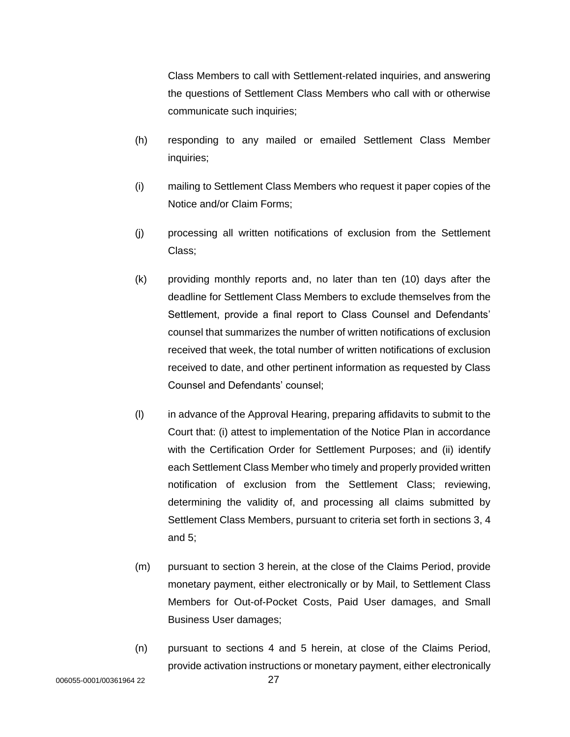Class Members to call with Settlement-related inquiries, and answering the questions of Settlement Class Members who call with or otherwise communicate such inquiries;

- (h) responding to any mailed or emailed Settlement Class Member inquiries;
- (i) mailing to Settlement Class Members who request it paper copies of the Notice and/or Claim Forms;
- (j) processing all written notifications of exclusion from the Settlement Class;
- (k) providing monthly reports and, no later than ten (10) days after the deadline for Settlement Class Members to exclude themselves from the Settlement, provide a final report to Class Counsel and Defendants' counsel that summarizes the number of written notifications of exclusion received that week, the total number of written notifications of exclusion received to date, and other pertinent information as requested by Class Counsel and Defendants' counsel;
- (l) in advance of the Approval Hearing, preparing affidavits to submit to the Court that: (i) attest to implementation of the Notice Plan in accordance with the Certification Order for Settlement Purposes; and (ii) identify each Settlement Class Member who timely and properly provided written notification of exclusion from the Settlement Class; reviewing, determining the validity of, and processing all claims submitted by Settlement Class Members, pursuant to criteria set forth in sections 3, 4 and 5;
- (m) pursuant to section 3 herein, at the close of the Claims Period, provide monetary payment, either electronically or by Mail, to Settlement Class Members for Out-of-Pocket Costs, Paid User damages, and Small Business User damages;
- (n) pursuant to sections 4 and 5 herein, at close of the Claims Period, provide activation instructions or monetary payment, either electronically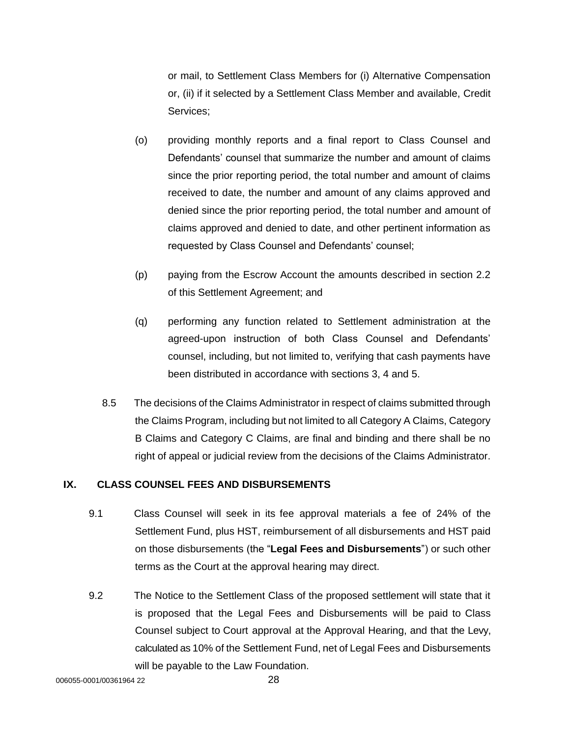or mail, to Settlement Class Members for (i) Alternative Compensation or, (ii) if it selected by a Settlement Class Member and available, Credit Services;

- (o) providing monthly reports and a final report to Class Counsel and Defendants' counsel that summarize the number and amount of claims since the prior reporting period, the total number and amount of claims received to date, the number and amount of any claims approved and denied since the prior reporting period, the total number and amount of claims approved and denied to date, and other pertinent information as requested by Class Counsel and Defendants' counsel;
- (p) paying from the Escrow Account the amounts described in section 2.2 of this Settlement Agreement; and
- (q) performing any function related to Settlement administration at the agreed-upon instruction of both Class Counsel and Defendants' counsel, including, but not limited to, verifying that cash payments have been distributed in accordance with sections 3, 4 and 5.
- 8.5 The decisions of the Claims Administrator in respect of claims submitted through the Claims Program, including but not limited to all Category A Claims, Category B Claims and Category C Claims, are final and binding and there shall be no right of appeal or judicial review from the decisions of the Claims Administrator.

### **IX. CLASS COUNSEL FEES AND DISBURSEMENTS**

- 9.1 Class Counsel will seek in its fee approval materials a fee of 24% of the Settlement Fund, plus HST, reimbursement of all disbursements and HST paid on those disbursements (the "**Legal Fees and Disbursements**") or such other terms as the Court at the approval hearing may direct.
- 9.2 The Notice to the Settlement Class of the proposed settlement will state that it is proposed that the Legal Fees and Disbursements will be paid to Class Counsel subject to Court approval at the Approval Hearing, and that the Levy, calculated as 10% of the Settlement Fund, net of Legal Fees and Disbursements will be payable to the Law Foundation.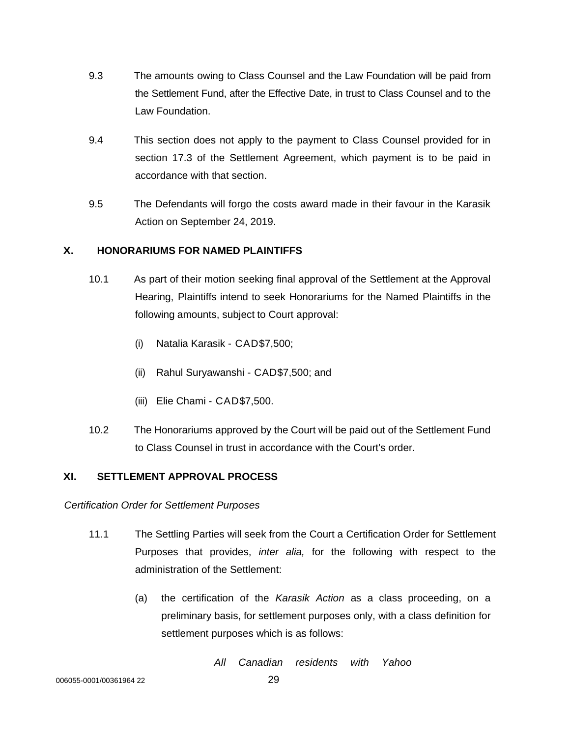- 9.3 The amounts owing to Class Counsel and the Law Foundation will be paid from the Settlement Fund, after the Effective Date, in trust to Class Counsel and to the Law Foundation.
- 9.4 This section does not apply to the payment to Class Counsel provided for in section 17.3 of the Settlement Agreement, which payment is to be paid in accordance with that section.
- 9.5 The Defendants will forgo the costs award made in their favour in the Karasik Action on September 24, 2019.

# **X. HONORARIUMS FOR NAMED PLAINTIFFS**

- 10.1 As part of their motion seeking final approval of the Settlement at the Approval Hearing, Plaintiffs intend to seek Honorariums for the Named Plaintiffs in the following amounts, subject to Court approval:
	- (i) Natalia Karasik CAD\$7,500;
	- (ii) Rahul Suryawanshi CAD\$7,500; and
	- (iii) Elie Chami CAD\$7,500.
- 10.2 The Honorariums approved by the Court will be paid out of the Settlement Fund to Class Counsel in trust in accordance with the Court's order.

# **XI. SETTLEMENT APPROVAL PROCESS**

*Certification Order for Settlement Purposes*

- 11.1 The Settling Parties will seek from the Court a Certification Order for Settlement Purposes that provides, *inter alia,* for the following with respect to the administration of the Settlement:
	- (a) the certification of the *Karasik Action* as a class proceeding, on a preliminary basis, for settlement purposes only, with a class definition for settlement purposes which is as follows:

*All Canadian residents with Yahoo*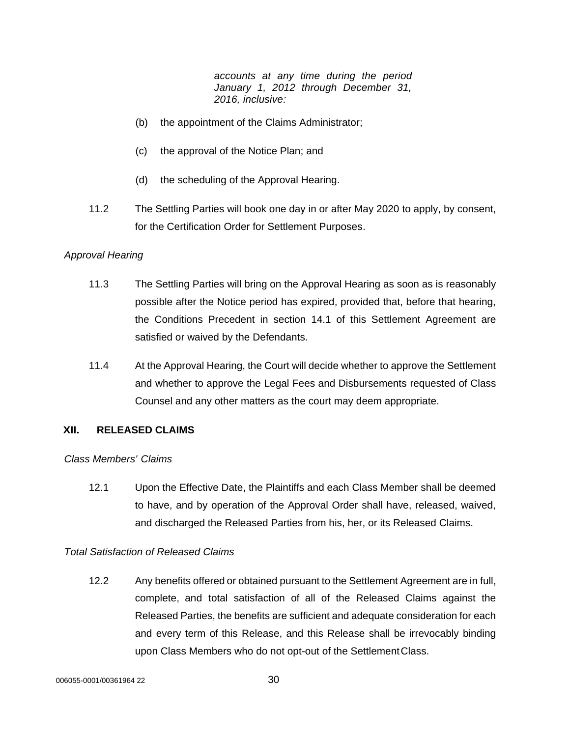*accounts at any time during the period January 1, 2012 through December 31, 2016, inclusive:*

- (b) the appointment of the Claims Administrator;
- (c) the approval of the Notice Plan; and
- (d) the scheduling of the Approval Hearing.
- 11.2 The Settling Parties will book one day in or after May 2020 to apply, by consent, for the Certification Order for Settlement Purposes.

#### *Approval Hearing*

- 11.3 The Settling Parties will bring on the Approval Hearing as soon as is reasonably possible after the Notice period has expired, provided that, before that hearing, the Conditions Precedent in section 14.1 of this Settlement Agreement are satisfied or waived by the Defendants.
- 11.4 At the Approval Hearing, the Court will decide whether to approve the Settlement and whether to approve the Legal Fees and Disbursements requested of Class Counsel and any other matters as the court may deem appropriate.

#### **XII. RELEASED CLAIMS**

#### *Class Members' Claims*

12.1 Upon the Effective Date, the Plaintiffs and each Class Member shall be deemed to have, and by operation of the Approval Order shall have, released, waived, and discharged the Released Parties from his, her, or its Released Claims.

### *Total Satisfaction of Released Claims*

12.2 Any benefits offered or obtained pursuant to the Settlement Agreement are in full, complete, and total satisfaction of all of the Released Claims against the Released Parties, the benefits are sufficient and adequate consideration for each and every term of this Release, and this Release shall be irrevocably binding upon Class Members who do not opt-out of the SettlementClass.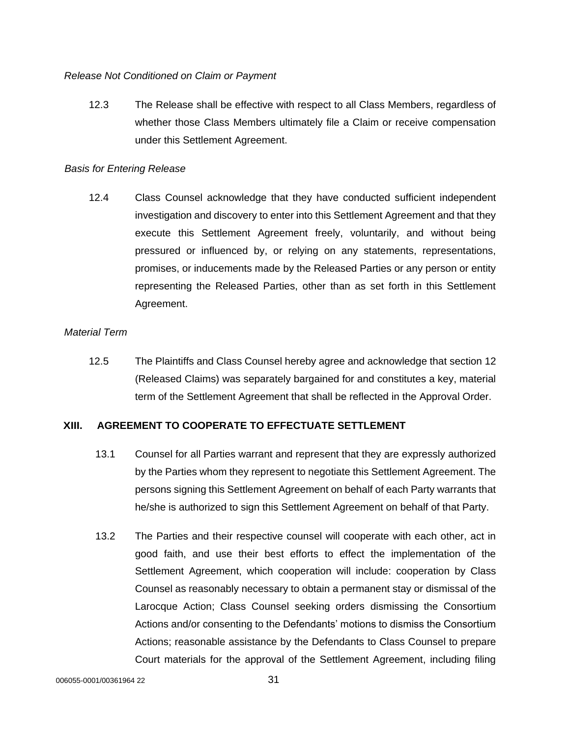# *Release Not Conditioned on Claim or Payment*

12.3 The Release shall be effective with respect to all Class Members, regardless of whether those Class Members ultimately file a Claim or receive compensation under this Settlement Agreement.

# *Basis for Entering Release*

12.4 Class Counsel acknowledge that they have conducted sufficient independent investigation and discovery to enter into this Settlement Agreement and that they execute this Settlement Agreement freely, voluntarily, and without being pressured or influenced by, or relying on any statements, representations, promises, or inducements made by the Released Parties or any person or entity representing the Released Parties, other than as set forth in this Settlement Agreement.

# *Material Term*

12.5 The Plaintiffs and Class Counsel hereby agree and acknowledge that section 12 (Released Claims) was separately bargained for and constitutes a key, material term of the Settlement Agreement that shall be reflected in the Approval Order.

# **XIII. AGREEMENT TO COOPERATE TO EFFECTUATE SETTLEMENT**

- 13.1 Counsel for all Parties warrant and represent that they are expressly authorized by the Parties whom they represent to negotiate this Settlement Agreement. The persons signing this Settlement Agreement on behalf of each Party warrants that he/she is authorized to sign this Settlement Agreement on behalf of that Party.
- 13.2 The Parties and their respective counsel will cooperate with each other, act in good faith, and use their best efforts to effect the implementation of the Settlement Agreement, which cooperation will include: cooperation by Class Counsel as reasonably necessary to obtain a permanent stay or dismissal of the Larocque Action; Class Counsel seeking orders dismissing the Consortium Actions and/or consenting to the Defendants' motions to dismiss the Consortium Actions; reasonable assistance by the Defendants to Class Counsel to prepare Court materials for the approval of the Settlement Agreement, including filing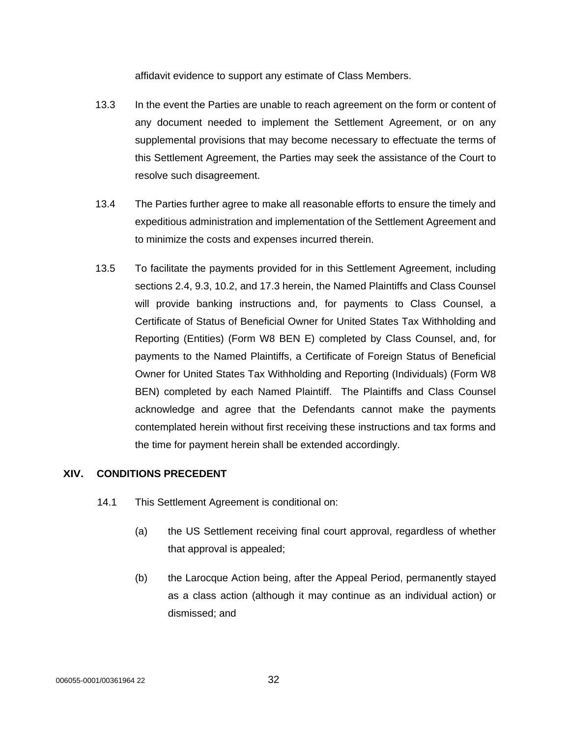affidavit evidence to support any estimate of Class Members.

- 13.3 In the event the Parties are unable to reach agreement on the form or content of any document needed to implement the Settlement Agreement, or on any supplemental provisions that may become necessary to effectuate the terms of this Settlement Agreement, the Parties may seek the assistance of the Court to resolve such disagreement.
- 13.4 The Parties further agree to make all reasonable efforts to ensure the timely and expeditious administration and implementation of the Settlement Agreement and to minimize the costs and expenses incurred therein.
- 13.5 To facilitate the payments provided for in this Settlement Agreement, including sections 2.4, 9.3, 10.2, and 17.3 herein, the Named Plaintiffs and Class Counsel will provide banking instructions and, for payments to Class Counsel, a Certificate of Status of Beneficial Owner for United States Tax Withholding and Reporting (Entities) (Form W8 BEN E) completed by Class Counsel, and, for payments to the Named Plaintiffs, a Certificate of Foreign Status of Beneficial Owner for United States Tax Withholding and Reporting (Individuals) (Form W8 BEN) completed by each Named Plaintiff. The Plaintiffs and Class Counsel acknowledge and agree that the Defendants cannot make the payments contemplated herein without first receiving these instructions and tax forms and the time for payment herein shall be extended accordingly.

### **XIV. CONDITIONS PRECEDENT**

- 14.1 This Settlement Agreement is conditional on:
	- (a) the US Settlement receiving final court approval, regardless of whether that approval is appealed;
	- (b) the Larocque Action being, after the Appeal Period, permanently stayed as a class action (although it may continue as an individual action) or dismissed; and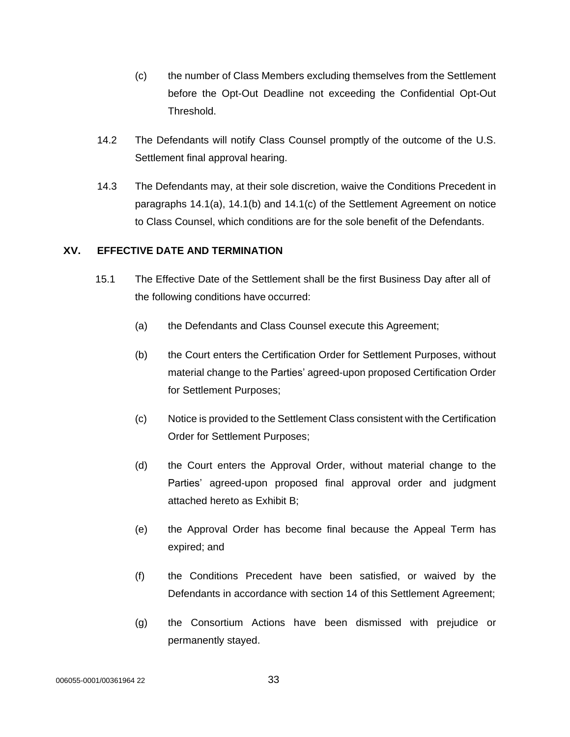- (c) the number of Class Members excluding themselves from the Settlement before the Opt-Out Deadline not exceeding the Confidential Opt-Out Threshold.
- 14.2 The Defendants will notify Class Counsel promptly of the outcome of the U.S. Settlement final approval hearing.
- 14.3 The Defendants may, at their sole discretion, waive the Conditions Precedent in paragraphs 14.1(a), 14.1(b) and 14.1(c) of the Settlement Agreement on notice to Class Counsel, which conditions are for the sole benefit of the Defendants.

### **XV. EFFECTIVE DATE AND TERMINATION**

- 15.1 The Effective Date of the Settlement shall be the first Business Day after all of the following conditions have occurred:
	- (a) the Defendants and Class Counsel execute this Agreement;
	- (b) the Court enters the Certification Order for Settlement Purposes, without material change to the Parties' agreed-upon proposed Certification Order for Settlement Purposes;
	- (c) Notice is provided to the Settlement Class consistent with the Certification Order for Settlement Purposes;
	- (d) the Court enters the Approval Order, without material change to the Parties' agreed-upon proposed final approval order and judgment attached hereto as Exhibit B;
	- (e) the Approval Order has become final because the Appeal Term has expired; and
	- (f) the Conditions Precedent have been satisfied, or waived by the Defendants in accordance with section 14 of this Settlement Agreement;
	- (g) the Consortium Actions have been dismissed with prejudice or permanently stayed.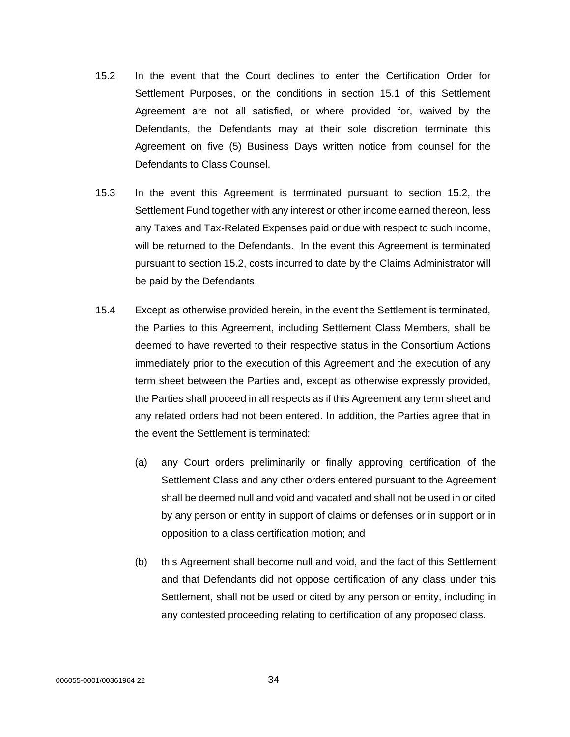- 15.2 In the event that the Court declines to enter the Certification Order for Settlement Purposes, or the conditions in section 15.1 of this Settlement Agreement are not all satisfied, or where provided for, waived by the Defendants, the Defendants may at their sole discretion terminate this Agreement on five (5) Business Days written notice from counsel for the Defendants to Class Counsel.
- 15.3 In the event this Agreement is terminated pursuant to section 15.2, the Settlement Fund together with any interest or other income earned thereon, less any Taxes and Tax-Related Expenses paid or due with respect to such income, will be returned to the Defendants. In the event this Agreement is terminated pursuant to section 15.2, costs incurred to date by the Claims Administrator will be paid by the Defendants.
- 15.4 Except as otherwise provided herein, in the event the Settlement is terminated, the Parties to this Agreement, including Settlement Class Members, shall be deemed to have reverted to their respective status in the Consortium Actions immediately prior to the execution of this Agreement and the execution of any term sheet between the Parties and, except as otherwise expressly provided, the Parties shall proceed in all respects as if this Agreement any term sheet and any related orders had not been entered. In addition, the Parties agree that in the event the Settlement is terminated:
	- (a) any Court orders preliminarily or finally approving certification of the Settlement Class and any other orders entered pursuant to the Agreement shall be deemed null and void and vacated and shall not be used in or cited by any person or entity in support of claims or defenses or in support or in opposition to a class certification motion; and
	- (b) this Agreement shall become null and void, and the fact of this Settlement and that Defendants did not oppose certification of any class under this Settlement, shall not be used or cited by any person or entity, including in any contested proceeding relating to certification of any proposed class.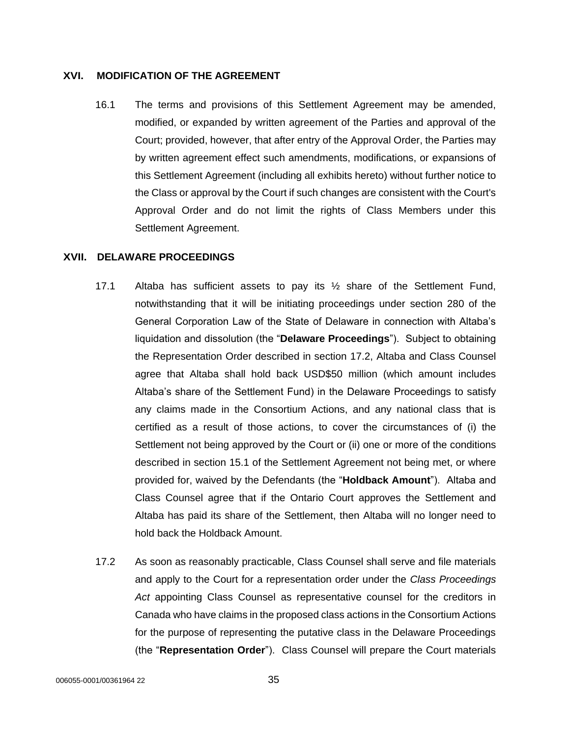#### **XVI. MODIFICATION OF THE AGREEMENT**

16.1 The terms and provisions of this Settlement Agreement may be amended, modified, or expanded by written agreement of the Parties and approval of the Court; provided, however, that after entry of the Approval Order, the Parties may by written agreement effect such amendments, modifications, or expansions of this Settlement Agreement (including all exhibits hereto) without further notice to the Class or approval by the Court if such changes are consistent with the Court's Approval Order and do not limit the rights of Class Members under this Settlement Agreement.

### **XVII. DELAWARE PROCEEDINGS**

- 17.1 Altaba has sufficient assets to pay its  $\frac{1}{2}$  share of the Settlement Fund, notwithstanding that it will be initiating proceedings under section 280 of the General Corporation Law of the State of Delaware in connection with Altaba's liquidation and dissolution (the "**Delaware Proceedings**"). Subject to obtaining the Representation Order described in section 17.2, Altaba and Class Counsel agree that Altaba shall hold back USD\$50 million (which amount includes Altaba's share of the Settlement Fund) in the Delaware Proceedings to satisfy any claims made in the Consortium Actions, and any national class that is certified as a result of those actions, to cover the circumstances of (i) the Settlement not being approved by the Court or (ii) one or more of the conditions described in section 15.1 of the Settlement Agreement not being met, or where provided for, waived by the Defendants (the "**Holdback Amount**"). Altaba and Class Counsel agree that if the Ontario Court approves the Settlement and Altaba has paid its share of the Settlement, then Altaba will no longer need to hold back the Holdback Amount.
- 17.2 As soon as reasonably practicable, Class Counsel shall serve and file materials and apply to the Court for a representation order under the *Class Proceedings Act* appointing Class Counsel as representative counsel for the creditors in Canada who have claims in the proposed class actions in the Consortium Actions for the purpose of representing the putative class in the Delaware Proceedings (the "**Representation Order**"). Class Counsel will prepare the Court materials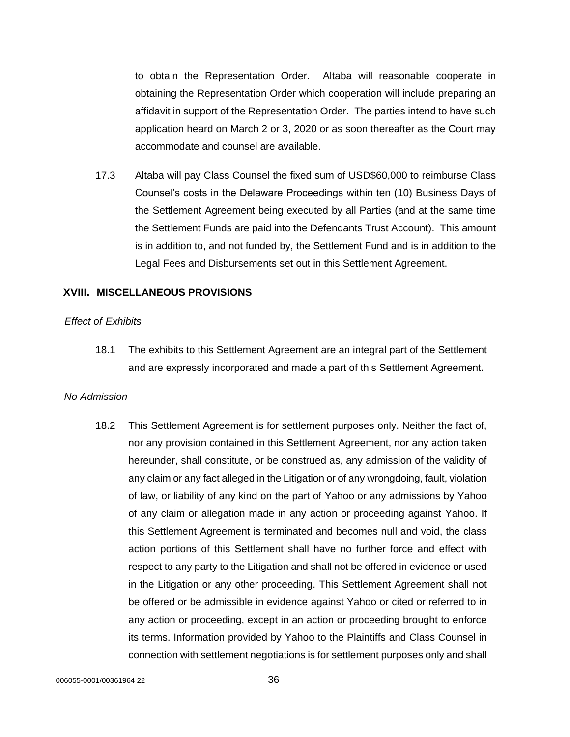to obtain the Representation Order. Altaba will reasonable cooperate in obtaining the Representation Order which cooperation will include preparing an affidavit in support of the Representation Order. The parties intend to have such application heard on March 2 or 3, 2020 or as soon thereafter as the Court may accommodate and counsel are available.

17.3 Altaba will pay Class Counsel the fixed sum of USD\$60,000 to reimburse Class Counsel's costs in the Delaware Proceedings within ten (10) Business Days of the Settlement Agreement being executed by all Parties (and at the same time the Settlement Funds are paid into the Defendants Trust Account). This amount is in addition to, and not funded by, the Settlement Fund and is in addition to the Legal Fees and Disbursements set out in this Settlement Agreement.

#### **XVIII. MISCELLANEOUS PROVISIONS**

#### *Effect of Exhibits*

18.1 The exhibits to this Settlement Agreement are an integral part of the Settlement and are expressly incorporated and made a part of this Settlement Agreement.

#### *No Admission*

18.2 This Settlement Agreement is for settlement purposes only. Neither the fact of, nor any provision contained in this Settlement Agreement, nor any action taken hereunder, shall constitute, or be construed as, any admission of the validity of any claim or any fact alleged in the Litigation or of any wrongdoing, fault, violation of law, or liability of any kind on the part of Yahoo or any admissions by Yahoo of any claim or allegation made in any action or proceeding against Yahoo. If this Settlement Agreement is terminated and becomes null and void, the class action portions of this Settlement shall have no further force and effect with respect to any party to the Litigation and shall not be offered in evidence or used in the Litigation or any other proceeding. This Settlement Agreement shall not be offered or be admissible in evidence against Yahoo or cited or referred to in any action or proceeding, except in an action or proceeding brought to enforce its terms. Information provided by Yahoo to the Plaintiffs and Class Counsel in connection with settlement negotiations is for settlement purposes only and shall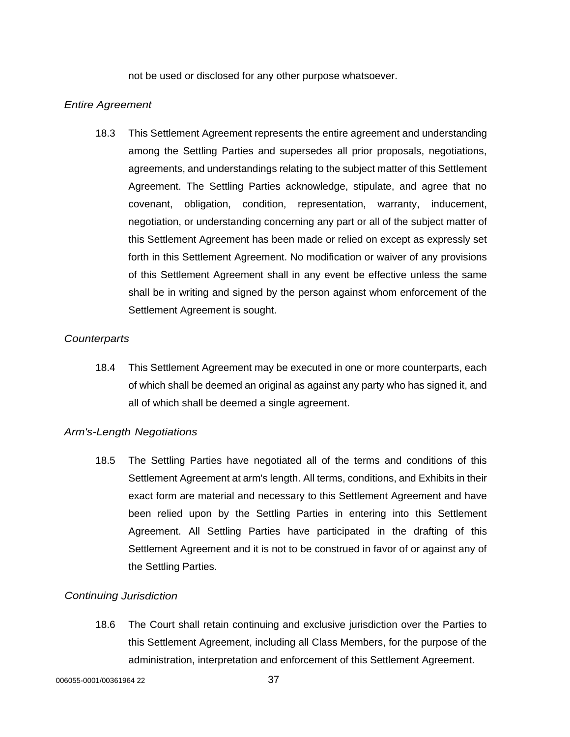not be used or disclosed for any other purpose whatsoever.

### *Entire Agreement*

18.3 This Settlement Agreement represents the entire agreement and understanding among the Settling Parties and supersedes all prior proposals, negotiations, agreements, and understandings relating to the subject matter of this Settlement Agreement. The Settling Parties acknowledge, stipulate, and agree that no covenant, obligation, condition, representation, warranty, inducement, negotiation, or understanding concerning any part or all of the subject matter of this Settlement Agreement has been made or relied on except as expressly set forth in this Settlement Agreement. No modification or waiver of any provisions of this Settlement Agreement shall in any event be effective unless the same shall be in writing and signed by the person against whom enforcement of the Settlement Agreement is sought.

#### *Counterparts*

18.4 This Settlement Agreement may be executed in one or more counterparts, each of which shall be deemed an original as against any party who has signed it, and all of which shall be deemed a single agreement.

### *Arm's-Length Negotiations*

18.5 The Settling Parties have negotiated all of the terms and conditions of this Settlement Agreement at arm's length. All terms, conditions, and Exhibits in their exact form are material and necessary to this Settlement Agreement and have been relied upon by the Settling Parties in entering into this Settlement Agreement. All Settling Parties have participated in the drafting of this Settlement Agreement and it is not to be construed in favor of or against any of the Settling Parties.

### *Continuing Jurisdiction*

18.6 The Court shall retain continuing and exclusive jurisdiction over the Parties to this Settlement Agreement, including all Class Members, for the purpose of the administration, interpretation and enforcement of this Settlement Agreement.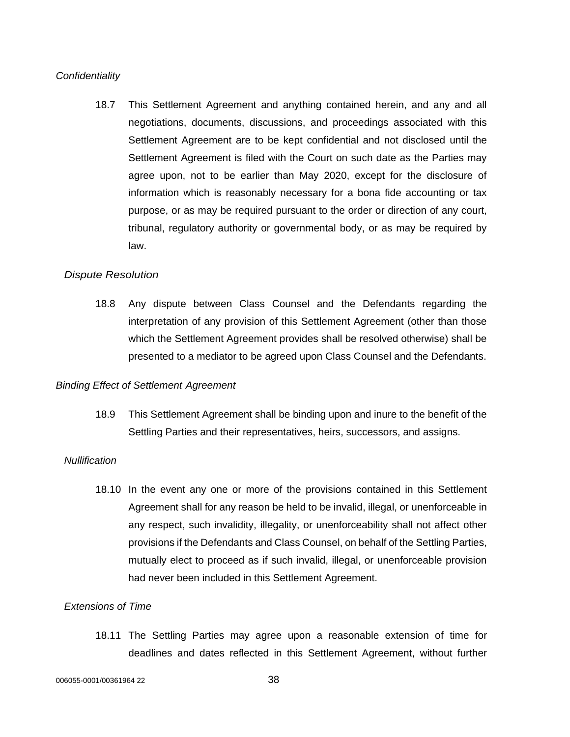#### *Confidentiality*

18.7 This Settlement Agreement and anything contained herein, and any and all negotiations, documents, discussions, and proceedings associated with this Settlement Agreement are to be kept confidential and not disclosed until the Settlement Agreement is filed with the Court on such date as the Parties may agree upon, not to be earlier than May 2020, except for the disclosure of information which is reasonably necessary for a bona fide accounting or tax purpose, or as may be required pursuant to the order or direction of any court, tribunal, regulatory authority or governmental body, or as may be required by law.

#### *Dispute Resolution*

18.8 Any dispute between Class Counsel and the Defendants regarding the interpretation of any provision of this Settlement Agreement (other than those which the Settlement Agreement provides shall be resolved otherwise) shall be presented to a mediator to be agreed upon Class Counsel and the Defendants.

#### *Binding Effect of Settlement Agreement*

18.9 This Settlement Agreement shall be binding upon and inure to the benefit of the Settling Parties and their representatives, heirs, successors, and assigns.

#### *Nullification*

18.10 In the event any one or more of the provisions contained in this Settlement Agreement shall for any reason be held to be invalid, illegal, or unenforceable in any respect, such invalidity, illegality, or unenforceability shall not affect other provisions if the Defendants and Class Counsel, on behalf of the Settling Parties, mutually elect to proceed as if such invalid, illegal, or unenforceable provision had never been included in this Settlement Agreement.

### *Extensions of Time*

18.11 The Settling Parties may agree upon a reasonable extension of time for deadlines and dates reflected in this Settlement Agreement, without further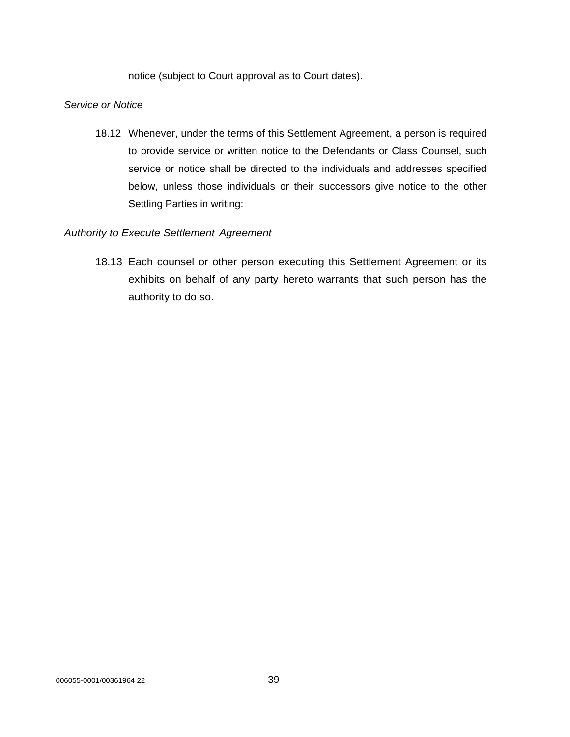notice (subject to Court approval as to Court dates).

# *Service or Notice*

18.12 Whenever, under the terms of this Settlement Agreement, a person is required to provide service or written notice to the Defendants or Class Counsel, such service or notice shall be directed to the individuals and addresses specified below, unless those individuals or their successors give notice to the other Settling Parties in writing:

# *Authority to Execute Settlement Agreement*

18.13 Each counsel or other person executing this Settlement Agreement or its exhibits on behalf of any party hereto warrants that such person has the authority to do so.